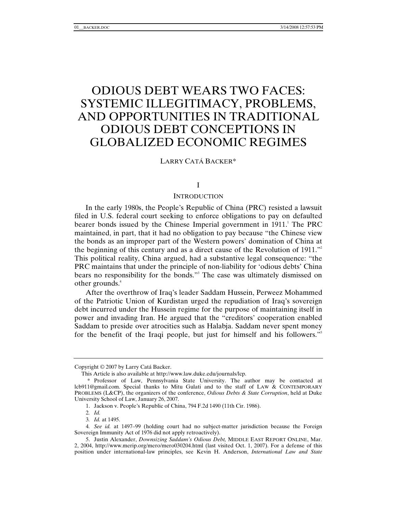# ODIOUS DEBT WEARS TWO FACES: SYSTEMIC ILLEGITIMACY, PROBLEMS, AND OPPORTUNITIES IN TRADITIONAL ODIOUS DEBT CONCEPTIONS IN GLOBALIZED ECONOMIC REGIMES

LARRY CATÁ BACKER\*

## I

## **INTRODUCTION**

In the early 1980s, the People's Republic of China (PRC) resisted a lawsuit filed in U.S. federal court seeking to enforce obligations to pay on defaulted bearer bonds issued by the Chinese Imperial government in 1911. The PRC maintained, in part, that it had no obligation to pay because "the Chinese view the bonds as an improper part of the Western powers' domination of China at the beginning of this century and as a direct cause of the Revolution of 1911.<sup>"2</sup> This political reality, China argued, had a substantive legal consequence: "the PRC maintains that under the principle of non-liability for 'odious debts' China bears no responsibility for the bonds."3 The case was ultimately dismissed on other grounds.<sup>4</sup>

After the overthrow of Iraq's leader Saddam Hussein, Perweez Mohammed of the Patriotic Union of Kurdistan urged the repudiation of Iraq's sovereign debt incurred under the Hussein regime for the purpose of maintaining itself in power and invading Iran. He argued that the "creditors' cooperation enabled Saddam to preside over atrocities such as Halabja. Saddam never spent money for the benefit of the Iraqi people, but just for himself and his followers."<sup>5</sup>

Copyright © 2007 by Larry Catá Backer.

This Article is also available at http://www.law.duke.edu/journals/lcp.

 <sup>\*</sup> Professor of Law, Pennsylvania State University. The author may be contacted at lcb911@gmail.com. Special thanks to Mitu Gulati and to the staff of LAW & CONTEMPORARY PROBLEMS (L&CP), the organizers of the conference, *Odious Debts & State Corruption*, held at Duke University School of Law, January 26, 2007.

 <sup>1.</sup> Jackson v. People's Republic of China, 794 F.2d 1490 (11th Cir. 1986).

<sup>2</sup>*. Id.*

<sup>3</sup>*. Id.* at 1495.

<sup>4</sup>*. See id.* at 1497–99 (holding court had no subject-matter jurisdiction because the Foreign Sovereign Immunity Act of 1976 did not apply retroactively).

 <sup>5.</sup> Justin Alexander, *Downsizing Saddam's Odious Debt,* MIDDLE EAST REPORT ONLINE, Mar. 2, 2004, http://www.merip.org/mero/mero030204.html (last visited Oct. 1, 2007). For a defense of this position under international-law principles, see Kevin H. Anderson, *International Law and State*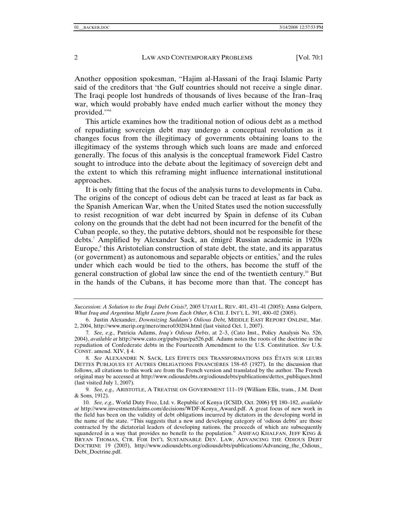Another opposition spokesman, "Hajim al-Hassani of the Iraqi Islamic Party said of the creditors that 'the Gulf countries should not receive a single dinar. The Iraqi people lost hundreds of thousands of lives because of the Iran–Iraq war, which would probably have ended much earlier without the money they provided."<sup>6</sup>

This article examines how the traditional notion of odious debt as a method of repudiating sovereign debt may undergo a conceptual revolution as it changes focus from the illegitimacy of governments obtaining loans to the illegitimacy of the systems through which such loans are made and enforced generally. The focus of this analysis is the conceptual framework Fidel Castro sought to introduce into the debate about the legitimacy of sovereign debt and the extent to which this reframing might influence international institutional approaches.

It is only fitting that the focus of the analysis turns to developments in Cuba. The origins of the concept of odious debt can be traced at least as far back as the Spanish American War, when the United States used the notion successfully to resist recognition of war debt incurred by Spain in defense of its Cuban colony on the grounds that the debt had not been incurred for the benefit of the Cuban people, so they, the putative debtors, should not be responsible for these debts.7 Amplified by Alexander Sack, an émigré Russian academic in 1920s Europe,<sup>8</sup> this Aristotelian construction of state debt, the state, and its apparatus (or government) as autonomous and separable objects or entities,<sup>9</sup> and the rules under which each would be tied to the others, has become the stuff of the general construction of global law since the end of the twentieth century.<sup>10</sup> But in the hands of the Cubans, it has become more than that. The concept has

9*. See, e.g.,* ARISTOTLE, A TREATISE ON GOVERNMENT 111–19 (William Ellis, trans., J.M. Dent & Sons, 1912).

*Succession: A Solution to the Iraqi Debt Crisis?,* 2005 UTAH L. REV. 401, 431–41 (2005); Anna Gelpern, *What Iraq and Argentina Might Learn from Each Other,* 6 CHI. J. INT'L L. 391, 400–02 (2005).

 <sup>6.</sup> Justin Alexander, *Downsizing Saddam's Odious Debt,* MIDDLE EAST REPORT ONLINE, Mar. 2, 2004, http://www.merip.org/mero/mero030204.html (last visited Oct. 1, 2007).

<sup>7</sup>*. See, e.g.,* Patricia Adams, *Iraq's Odious Debts*, at 2–3, (Cato Inst., Policy Analysis No. 526, 2004), *available at* http://www.cato.org/pubs/pas/pa526.pdf. Adams notes the roots of the doctrine in the repudiation of Confederate debts in the Fourteenth Amendment to the U.S. Constitution. *See* U.S. CONST. amend. XIV, § 4.

<sup>8</sup>*. See* ALEXANDRE N. SACK, LES EFFETS DES TRANSFORMATIONS DES ÉTATS SUR LEURS DETTES PUBLIQUES ET AUTRES OBLIGATIONS FINANCIÈRES 158–65 (1927). In the discussion that follows, all citations to this work are from the French version and translated by the author. The French original may be accessed at http://www.odiousdebts.org/odiousdebts/publications/dettes\_publiques.html (last visited July 1, 2007).

<sup>10</sup>*. See, e.g.,* World Duty Free, Ltd. v. Republic of Kenya (ICSID, Oct. 2006) ¶¶ 180–182, *available at* http://www.investmentclaims.com/decisions/WDF-Kenya\_Award.pdf. A great focus of new work in the field has been on the validity of debt obligations incurred by dictators in the developing world in the name of the state. "This suggests that a new and developing category of 'odious debts' are those contracted by the dictatorial leaders of developing nations, the proceeds of which are subsequently squandered in a way that provides no benefit to the population." ASHFAQ KHALFAN, JEFF KING & BRYAN THOMAS, CTR. FOR INT'L SUSTAINABLE DEV. LAW, ADVANCING THE ODIOUS DEBT DOCTRINE 19 (2003), http://www.odiousdebts.org/odiousdebts/publications/Advancing\_the\_Odious\_ Debt\_Doctrine.pdf.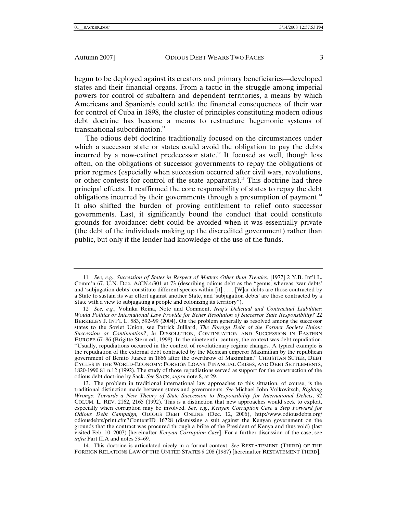begun to be deployed against its creators and primary beneficiaries—developed states and their financial organs. From a tactic in the struggle among imperial powers for control of subaltern and dependent territories, a means by which Americans and Spaniards could settle the financial consequences of their war for control of Cuba in 1898, the cluster of principles constituting modern odious debt doctrine has become a means to restructure hegemonic systems of transnational subordination. $11$ 

The odious debt doctrine traditionally focused on the circumstances under which a successor state or states could avoid the obligation to pay the debts incurred by a now-extinct predecessor state.<sup>12</sup> It focused as well, though less often, on the obligations of successor governments to repay the obligations of prior regimes (especially when succession occurred after civil wars, revolutions, or other contests for control of the state apparatus).<sup>13</sup> This doctrine had three principal effects. It reaffirmed the core responsibility of states to repay the debt obligations incurred by their governments through a presumption of payment.<sup>14</sup> It also shifted the burden of proving entitlement to relief onto successor governments. Last, it significantly bound the conduct that could constitute grounds for avoidance: debt could be avoided when it was essentially private (the debt of the individuals making up the discredited government) rather than public, but only if the lender had knowledge of the use of the funds.

 13. The problem in traditional international law approaches to this situation, of course, is the traditional distinction made between states and governments. *See* Michael John Volkovitsch, *Righting Wrongs: Towards a New Theory of State Succession to Responsibility for International Delicts*, 92 COLUM. L. REV. 2162, 2165 (1992). This is a distinction that new approaches would seek to exploit, especially when corruption may be involved. *See, e.g.*, *Kenyan Corruption Case a Step Forward for Odious Debt Campaign,* ODIOUS DEBT ONLINE (Dec. 12, 2006), http://www.odiousdebts.org/ odiousdebts/print.cfm?ContentID=16728 (dismissing a suit against the Kenyan government on the grounds that the contract was procured through a bribe of the President of Kenya and thus void) (last visited Feb. 10, 2007) [hereinafter *Kenyan Corruption Case*]. For a further discussion of the case, see *infra* Part II.A and notes 59–69.

 14. This doctrine is articulated nicely in a formal context. *See* RESTATEMENT (THIRD) OF THE FOREIGN RELATIONS LAW OF THE UNITED STATES § 208 (1987) [hereinafter RESTATEMENT THIRD].

<sup>11</sup>*. See, e.g.*, *Succession of States in Respect of Matters Other than Treaties*, [1977] 2 Y.B. Int'l L. Comm'n 67, U.N. Doc. A/CN.4/301 at 73 (describing odious debt as the "genus, whereas 'war debts' and 'subjugation debts' constitute different species within [it] . . . [W]ar debts are those contracted by a State to sustain its war effort against another State, and 'subjugation debts' are those contracted by a State with a view to subjugating a people and colonizing its territory").

<sup>12</sup>*. See, e.g.*, Volinka Reina, Note and Comment, *Iraq's Delictual and Contractual Liabilities: Would Politics or International Law Provide for Better Resolution of Successor State Responsibility?* 22 BERKELEY J. INT'L L. 583, 592–99 (2004). On the problem generally as resolved among the successor states to the Soviet Union, see Patrick Julliard, *The Foreign Debt of the Former Society Union: Succession or Continuation?*, *in* DISSOLUTION, CONTINUATION AND SUCCESSION IN EASTERN EUROPE 67–86 (Brigitte Stern ed., 1998). In the nineteenth century, the context was debt repudiation. "Usually, repudiations occurred in the context of revolutionary regime changes. A typical example is the repudiation of the external debt contracted by the Mexican emperor Maximilian by the republican government of Benito Juarez in 1866 after the overthrow of Maximilian." CHRISTIAN SUTER, DEBT CYCLES IN THE WORLD-ECONOMY: FOREIGN LOANS, FINANCIAL CRISES, AND DEBT SETTLEMENTS, 1820-1990 81 n.12 (1992). The study of those repudiations served as support for the construction of the odious debt doctrine by Sack. *See* SACK, *supra* note 8, at 29.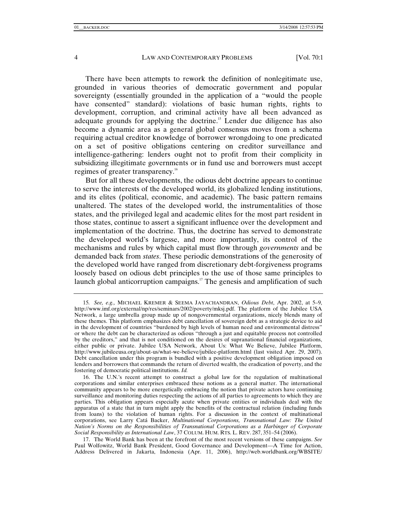There have been attempts to rework the definition of nonlegitimate use, grounded in various theories of democratic government and popular sovereignty (essentially grounded in the application of a "would the people have consented" standard): violations of basic human rights, rights to development, corruption, and criminal activity have all been advanced as adequate grounds for applying the doctrine.<sup>15</sup> Lender due diligence has also become a dynamic area as a general global consensus moves from a schema requiring actual creditor knowledge of borrower wrongdoing to one predicated on a set of positive obligations centering on creditor surveillance and intelligence-gathering: lenders ought not to profit from their complicity in subsidizing illegitimate governments or in fund use and borrowers must accept regimes of greater transparency.<sup>16</sup>

But for all these developments, the odious debt doctrine appears to continue to serve the interests of the developed world, its globalized lending institutions, and its elites (political, economic, and academic). The basic pattern remains unaltered. The states of the developed world, the instrumentalities of those states, and the privileged legal and academic elites for the most part resident in those states, continue to assert a significant influence over the development and implementation of the doctrine. Thus, the doctrine has served to demonstrate the developed world's largesse, and more importantly, its control of the mechanisms and rules by which capital must flow through *governments* and be demanded back from *states*. These periodic demonstrations of the generosity of the developed world have ranged from discretionary debt-forgiveness programs loosely based on odious debt principles to the use of those same principles to launch global anticorruption campaigns.<sup>17</sup> The genesis and amplification of such

 17. The World Bank has been at the forefront of the most recent versions of these campaigns. *See* Paul Wolfowitz, World Bank President, Good Governance and Development—A Time for Action, Address Delivered in Jakarta, Indonesia (Apr. 11, 2006), http://web.worldbank.org/WBSITE/

<sup>15</sup>*. See, e.g.,* MICHAEL KREMER & SEEMA JAYACHANDRAN, *Odious Debt*, Apr. 2002, at 5–9, http://www.imf.org/external/np/res/seminars/2002/poverty/mksj.pdf. The platform of the Jubilee USA Network, a large umbrella group made up of nongovernmental organizations, nicely blends many of these themes. This platform emphasizes debt cancellation of sovereign debt as a strategic device to aid in the development of countries "burdened by high levels of human need and environmental distress" or where the debt can be characterized as odious "through a just and equitable process not controlled by the creditors," and that is not conditioned on the desires of supranational financial organizations, either public or private. Jubilee USA Network, About Us: What We Believe, Jubilee Platform, http://www.jubileeusa.org/about-us/what-we-believe/jubilee-platform.html (last visited Apr. 29, 2007). Debt cancellation under this program is bundled with a positive development obligation imposed on lenders and borrowers that commands the return of diverted wealth, the eradication of poverty, and the fostering of democratic political institutions. *Id.*

 <sup>16.</sup> The U.N.'s recent attempt to construct a global law for the regulation of multinational corporations and similar enterprises embraced these notions as a general matter. The international community appears to be more energetically embracing the notion that private actors have continuing surveillance and monitoring duties respecting the actions of all parties to agreements to which they are parties. This obligation appears especially acute when private entities or individuals deal with the apparatus of a state that in turn might apply the benefits of the contractual relation (including funds from loans) to the violation of human rights. For a discussion in the context of multinational corporations, see Larry Catá Backer, *Multinational Corporations, Transnational Law: The United Nation's Norms on the Responsibilities of Transnational Corporations as a Harbinger of Corporate Social Responsibility as International Law*, 37 COLUM. HUM. RTS. L. REV. 287, 351–54 (2006).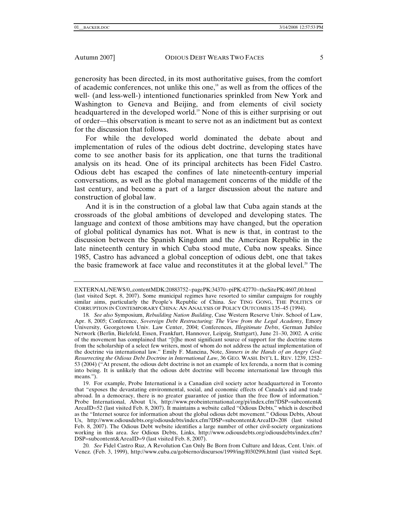generosity has been directed, in its most authoritative guises, from the comfort of academic conferences, not unlike this one, $18$  as well as from the offices of the well- (and less-well-) intentioned functionaries sprinkled from New York and Washington to Geneva and Beijing, and from elements of civil society headquartered in the developed world.<sup>19</sup> None of this is either surprising or out of order—this observation is meant to serve not as an indictment but as context for the discussion that follows.

For while the developed world dominated the debate about and implementation of rules of the odious debt doctrine, developing states have come to see another basis for its application, one that turns the traditional analysis on its head. One of its principal architects has been Fidel Castro. Odious debt has escaped the confines of late nineteenth-century imperial conversations, as well as the global management concerns of the middle of the last century, and become a part of a larger discussion about the nature and construction of global law.

And it is in the construction of a global law that Cuba again stands at the crossroads of the global ambitions of developed and developing states. The language and context of those ambitions may have changed, but the operation of global political dynamics has not. What is new is that, in contrast to the discussion between the Spanish Kingdom and the American Republic in the late nineteenth century in which Cuba stood mute, Cuba now speaks. Since 1985, Castro has advanced a global conception of odious debt, one that takes the basic framework at face value and reconstitutes it at the global level.<sup>20</sup> The

20*. See* Fidel Castro Ruz, A Revolution Can Only Be Born from Culture and Ideas, Cent. Univ. of Venez. (Feb. 3, 1999), http://www.cuba.cu/gobierno/discursos/1999/ing/f030299i.html (last visited Sept.

EXTERNAL/NEWS/0,,contentMDK:20883752~pagePK:34370~piPK:42770~theSitePK:4607,00.html (last visited Sept. 8, 2007). Some municipal regimes have resorted to similar campaigns for roughly similar aims, particularly the People's Republic of China. *See* TING GONG, THE POLITICS OF CORRUPTION IN CONTEMPORARY CHINA: AN ANALYSIS OF POLICY OUTCOMES 135–45 (1994).

<sup>18</sup>*. See also* Symposium, *Rebuilding Nation Building*, Case Western Reserve Univ. School of Law, Apr. 8, 2005; Conference, *Sovereign Debt Restructuring: The View from the Legal Academy*, Emory University, Georgetown Univ. Law Center, 2004; Conferences, *Illegitimate Debts*, German Jubilee Network (Berlin, Bielefeld, Essen, Frankfurt, Hannover, Leipzig, Stuttgart), June 21–30, 2002. A critic of the movement has complained that "[t]he most significant source of support for the doctrine stems from the scholarship of a select few writers, most of whom do not address the actual implementation of the doctrine via international law." Emily F. Mancina, Note, *Sinners in the Hands of an Angry God: Resurrecting the Odious Debt Doctrine in International Law*, 36 GEO. WASH. INT'L L. REV. 1239, 1252– 53 (2004) ("At present, the odious debt doctrine is not an example of lex ferenda, a norm that is coming into being. It is unlikely that the odious debt doctrine will become international law through this means.").

 <sup>19.</sup> For example, Probe International is a Canadian civil society actor headquartered in Toronto that "exposes the devastating environmental, social, and economic effects of Canada's aid and trade abroad. In a democracy, there is no greater guarantee of justice than the free flow of information." Probe International, About Us, http://www.probeinternational.org/pi/index.cfm?DSP=subcontent& AreaID=52 (last visited Feb. 8, 2007). It maintains a website called "Odious Debts," which is described as the "Internet source for information about the global odious debt movement." Odious Debts, About Us, http://www.odiousdebts.org/odiousdebts/index.cfm?DSP=subcontent&AreaID=208 (last visited Feb. 8, 2007). The Odious Debt website identifies a large number of other civil-society organizations working in this area. *See* Odious Debts, Links, http://www.odiousdebts.org/odiousdebts/index.cfm? DSP=subcontent&AreaID=9 (last visited Feb. 8, 2007).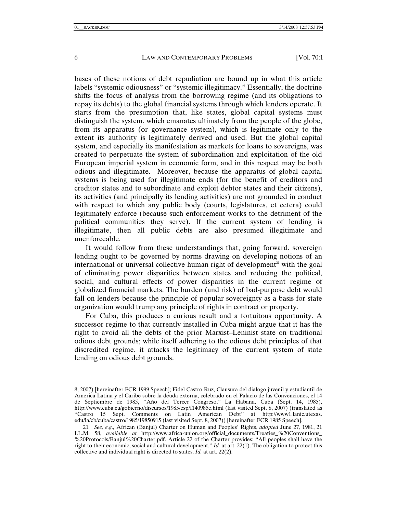bases of these notions of debt repudiation are bound up in what this article labels "systemic odiousness" or "systemic illegitimacy." Essentially, the doctrine shifts the focus of analysis from the borrowing regime (and its obligations to repay its debts) to the global financial systems through which lenders operate. It starts from the presumption that, like states, global capital systems must distinguish the system, which emanates ultimately from the people of the globe, from its apparatus (or governance system), which is legitimate only to the extent its authority is legitimately derived and used. But the global capital system, and especially its manifestation as markets for loans to sovereigns, was created to perpetuate the system of subordination and exploitation of the old European imperial system in economic form, and in this respect may be both odious and illegitimate. Moreover, because the apparatus of global capital systems is being used for illegitimate ends (for the benefit of creditors and creditor states and to subordinate and exploit debtor states and their citizens), its activities (and principally its lending activities) are not grounded in conduct with respect to which any public body (courts, legislatures, et cetera) could legitimately enforce (because such enforcement works to the detriment of the political communities they serve). If the current system of lending is illegitimate, then all public debts are also presumed illegitimate and unenforceable.

It would follow from these understandings that, going forward, sovereign lending ought to be governed by norms drawing on developing notions of an international or universal collective human right of development $^{21}$  with the goal of eliminating power disparities between states and reducing the political, social, and cultural effects of power disparities in the current regime of globalized financial markets. The burden (and risk) of bad-purpose debt would fall on lenders because the principle of popular sovereignty as a basis for state organization would trump any principle of rights in contract or property.

For Cuba, this produces a curious result and a fortuitous opportunity. A successor regime to that currently installed in Cuba might argue that it has the right to avoid all the debts of the prior Marxist–Leninist state on traditional odious debt grounds; while itself adhering to the odious debt principles of that discredited regime, it attacks the legitimacy of the current system of state lending on odious debt grounds.

<sup>8, 2007) [</sup>hereinafter FCR 1999 Speech]; Fidel Castro Ruz, Clausura del dialogo juvenil y estudiantil de America Latina y el Caribe sobre la deuda externa, celebrado en el Palacio de las Convenciones, el 14 de Septiembre de 1985, "Año del Tercer Congreso," La Habana, Cuba (Sept. 14, 1985), http://www.cuba.cu/gobierno/discursos/1985/esp/f140985e.html (last visited Sept. 8, 2007) (translated as "Castro 15 Sept. Comments on Latin American Debt" at http://www1.lanic.utexas. edu/la/cb/cuba/castro/1985/19850915 (last visited Sept. 8, 2007)) [hereinafter FCR 1985 Speech].

<sup>21</sup>*. See, e.g.,* African (Banjul) Charter on Human and Peoples' Rights, *adopted* June 27, 1981, 21 I.L.M. 58, *available at* http://www.africa-union.org/official\_documents/Treaties\_%20Conventions\_ %20Protocols/Banjul%20Charter.pdf. Article 22 of the Charter provides: "All peoples shall have the right to their economic, social and cultural development." *Id.* at art. 22(1). The obligation to protect this collective and individual right is directed to states. *Id.* at art. 22(2).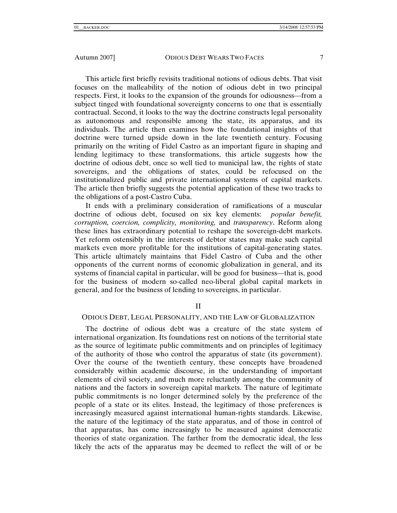This article first briefly revisits traditional notions of odious debts. That visit focuses on the malleability of the notion of odious debt in two principal respects. First, it looks to the expansion of the grounds for odiousness—from a subject tinged with foundational sovereignty concerns to one that is essentially contractual. Second, it looks to the way the doctrine constructs legal personality as autonomous and responsible among the state, its apparatus, and its individuals. The article then examines how the foundational insights of that doctrine were turned upside down in the late twentieth century. Focusing primarily on the writing of Fidel Castro as an important figure in shaping and lending legitimacy to these transformations, this article suggests how the doctrine of odious debt, once so well tied to municipal law, the rights of state sovereigns, and the obligations of states, could be refocused on the institutionalized public and private international systems of capital markets. The article then briefly suggests the potential application of these two tracks to the obligations of a post-Castro Cuba.

It ends with a preliminary consideration of ramifications of a muscular doctrine of odious debt, focused on six key elements: *popular benefit, corruption, coercion, complicity, monitoring,* and *transparency*. Reform along these lines has extraordinary potential to reshape the sovereign-debt markets. Yet reform ostensibly in the interests of debtor states may make such capital markets even more profitable for the institutions of capital-generating states. This article ultimately maintains that Fidel Castro of Cuba and the other opponents of the current norms of economic globalization in general, and its systems of financial capital in particular, will be good for business—that is, good for the business of modern so-called neo-liberal global capital markets in general, and for the business of lending to sovereigns, in particular.

# II

# ODIOUS DEBT, LEGAL PERSONALITY, AND THE LAW OF GLOBALIZATION

The doctrine of odious debt was a creature of the state system of international organization. Its foundations rest on notions of the territorial state as the source of legitimate public commitments and on principles of legitimacy of the authority of those who control the apparatus of state (its government). Over the course of the twentieth century, these concepts have broadened considerably within academic discourse, in the understanding of important elements of civil society, and much more reluctantly among the community of nations and the factors in sovereign capital markets. The nature of legitimate public commitments is no longer determined solely by the preference of the people of a state or its elites. Instead, the legitimacy of those preferences is increasingly measured against international human-rights standards. Likewise, the nature of the legitimacy of the state apparatus, and of those in control of that apparatus, has come increasingly to be measured against democratic theories of state organization. The farther from the democratic ideal, the less likely the acts of the apparatus may be deemed to reflect the will of or be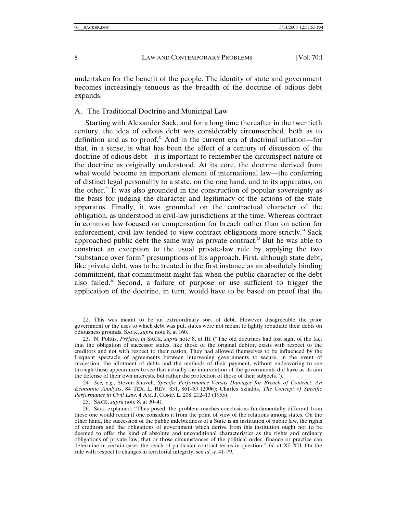undertaken for the benefit of the people. The identity of state and government becomes increasingly tenuous as the breadth of the doctrine of odious debt expands.

A. The Traditional Doctrine and Municipal Law

Starting with Alexander Sack, and for a long time thereafter in the twentieth century, the idea of odious debt was considerably circumscribed, both as to definition and as to proof.<sup>22</sup> And in the current era of doctrinal inflation—for that, in a sense, is what has been the effect of a century of discussion of the doctrine of odious debt—it is important to remember the circumspect nature of the doctrine as originally understood. At its core, the doctrine derived from what would become an important element of international law—the conferring of distinct legal personality to a state, on the one hand, and to its apparatus, on the other.<sup>23</sup> It was also grounded in the construction of popular sovereignty as the basis for judging the character and legitimacy of the actions of the state apparatus. Finally, it was grounded on the contractual character of the obligation, as understood in civil-law jurisdictions at the time. Whereas contract in common law focused on compensation for breach rather than on action for enforcement, civil law tended to view contract obligations more strictly.<sup>24</sup> Sack approached public debt the same way as private contract.<sup>25</sup> But he was able to construct an exception to the usual private-law rule by applying the two "substance over form" presumptions of his approach. First, although state debt, like private debt, was to be treated in the first instance as an absolutely binding commitment, that commitment might fail when the public character of the debt also failed.<sup>26</sup> Second, a failure of purpose or use sufficient to trigger the application of the doctrine, in turn, would have to be based on proof that the

 <sup>22.</sup> This was meant to be an extraordinary sort of debt. However disagreeable the prior government or the uses to which debt was put, states were not meant to lightly repudiate their debts on odiousness grounds. SACK, *supra* note 8, at 160.

 <sup>23.</sup> N. Politis, *Préface*, *in* SACK, *supra* note 8, at III ("The old doctrines had lost sight of the fact that the obligation of successor states, like those of the original debtor, exists with respect to the creditors and not with respect to their nation. They had allowed themselves to be influenced by the frequent spectacle of agreements between intervening governments to secure, in the event of succession, the allotment of debts and the methods of their payment, without endeavoring to see through these appearances to see that actually the intervention of the governments did have as its aim the defense of their own interests, but rather the protection of those of their subjects.").

<sup>24</sup>*. See, e.g.*, Steven Shavell, *Specific Performance Versus Damages for Breach of Contract: An Economic Analysis*, 84 TEX. L. REV. 831, 861–63 (2006); Charles Szladits, *The Concept of Specific Performance in Civil Law*, 4 AM. J. COMP. L. 208, 212–13 (1955).

 <sup>25.</sup> SACK, *supra* note 8, at 30–41.

 <sup>26.</sup> Sack explained: "Thus posed, the problem reaches conclusions fundamentally different from those one would reach if one considers it from the point of view of the relations among states. On the other hand, the succession of the public indebtedness of a State is an institution of public law, the rights of creditors and the obligations of government which derive from this institution ought not to be deemed to offer the kind of absolute and unconditional characteristics as the rights and ordinary obligations of private law; that or those circumstances of the political order, finance or practice can determine in certain cases the reach of particular contract terms in question." *Id*. at XI–XII. On the rule with respect to changes in territorial integrity, see *id*. at 41–79.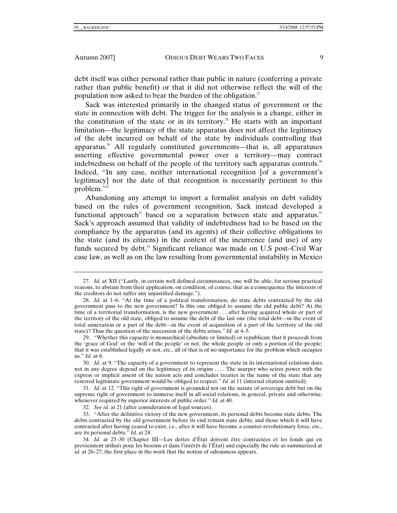debt itself was either personal rather than public in nature (conferring a private rather than public benefit) or that it did not otherwise reflect the will of the population now asked to bear the burden of the obligation.<sup>27</sup>

Sack was interested primarily in the changed status of government or the state in connection with debt. The trigger for the analysis is a change, either in the constitution of the state or in its territory.<sup>28</sup> He starts with an important limitation—the legitimacy of the state apparatus does not affect the legitimacy of the debt incurred on behalf of the state by individuals controlling that apparatus.29 All regularly constituted governments—that is, all apparatuses asserting effective governmental power over a territory—may contract indebtedness on behalf of the people of the territory such apparatus controls.<sup>30</sup> Indeed, "In any case, neither international recognition [of a government's legitimacy] nor the date of that recognition is necessarily pertinent to this problem."<sup>31</sup>

Abandoning any attempt to import a formalist analysis on debt validity based on the rules of government recognition, Sack instead developed a functional approach<sup>32</sup> based on a separation between state and apparatus.<sup>33</sup> Sack's approach assumed that validity of indebtedness had to be based on the compliance by the apparatus (and its agents) of their collective obligations to the state (and its citizens) in the context of the incurrence (and use) of any funds secured by debt.<sup>34</sup> Significant reliance was made on U.S post–Civil War case law, as well as on the law resulting from governmental instability in Mexico

32*. See id.* at 21 (after consideration of legal sources).

<sup>27</sup>*. Id.* at XII ("Lastly, in certain well defined circumstances, one will be able, for serious practical reasons, to abstain from their application, on condition, of course, that as a consequence the interests of the creditors do not suffer any unjustified damage.").

<sup>28</sup>*. Id*. at 1–6. "At the time of a political transformation, do state debts contracted by the old government pass to the new government? Is this one obliged to assume the old public debt? At the time of a territorial transformation, is the new government . . . after having acquired whole or part of the territory of the old state, obliged to assume the debt of the last one (the total debt—in the event of total annexation or a part of the debt—in the event of acquisition of a part of the territory of the old state)? Thus the question of the succession of the debts arises." *Id.* at 4–5.

 <sup>29. &</sup>quot;Whether this capacity is monarchical (absolute or limited) or republican; that it proceeds from the 'grace of God' or the 'will of the people' or not, the whole people or only a portion of the people; that it was established legally or not, etc., all of that is of no importance for the problem which occupies us." *Id.* at 6.

<sup>30</sup>*. Id.* at 9. "The capacity of a government to represent the state in its international relations does not in any degree depend on the legitimacy of its origins . . . . The usurper who seizes power with the express or implicit assent of the nation acts and concludes treaties in the name of the state that any restored legitimate government would be obliged to respect." *Id.* at 11 (internal citation omitted).

<sup>31</sup>*. Id*. at 12. "This right of government is grounded not on the nature of sovereign debt but on the supreme right of government to immerse itself in all social relations, in general, private and otherwise, whenever required by superior interests of public order." *Id.* at 40.

 <sup>33. &</sup>quot;After the definitive victory of the new government, its personal debts become state debts. The debts contracted by the old government before its end remain state debts, and those which it will have contracted after having ceased to exist, i.e., after it will have become a counter-revolutionary force, etc., are its personal debts." *Id.* at 24.

<sup>34</sup>*. Id.* at 25–30 (Chapter III—Les dettes d'État doivent être contractées et les fonds qui en proviennent utilisés pour les besoins et dans l'intérêt de l'État) and especially the rule as summarized at *id.* at 26–27, the first place in the work that the notion of odiousness appears.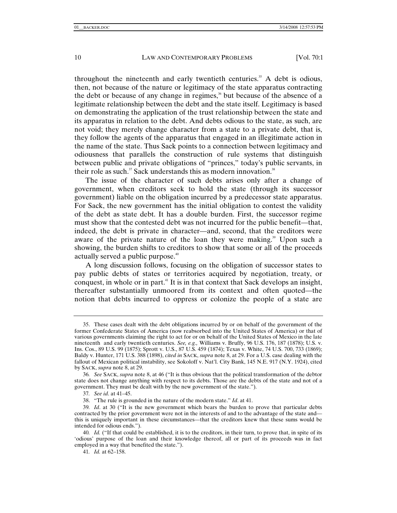throughout the nineteenth and early twentieth centuries.<sup>35</sup> A debt is odious, then, not because of the nature or legitimacy of the state apparatus contracting the debt or because of any change in regimes, $36$  but because of the absence of a legitimate relationship between the debt and the state itself. Legitimacy is based on demonstrating the application of the trust relationship between the state and its apparatus in relation to the debt. And debts odious to the state, as such, are not void; they merely change character from a state to a private debt, that is, they follow the agents of the apparatus that engaged in an illegitimate action in the name of the state. Thus Sack points to a connection between legitimacy and odiousness that parallels the construction of rule systems that distinguish between public and private obligations of "princes," today's public servants, in their role as such. $37$  Sack understands this as modern innovation. $38$ 

The issue of the character of such debts arises only after a change of government, when creditors seek to hold the state (through its successor government) liable on the obligation incurred by a predecessor state apparatus. For Sack, the new government has the initial obligation to contest the validity of the debt as state debt. It has a double burden. First, the successor regime must show that the contested debt was not incurred for the public benefit—that, indeed, the debt is private in character—and, second, that the creditors were aware of the private nature of the loan they were making.<sup>39</sup> Upon such a showing, the burden shifts to creditors to show that some or all of the proceeds actually served a public purpose.<sup>40</sup>

A long discussion follows, focusing on the obligation of successor states to pay public debts of states or territories acquired by negotiation, treaty, or conquest, in whole or in part.41 It is in that context that Sack develops an insight, thereafter substantially unmoored from its context and often quoted—the notion that debts incurred to oppress or colonize the people of a state are

37*. See id*. at 41–45.

 <sup>35.</sup> These cases dealt with the debt obligations incurred by or on behalf of the government of the former Confederate States of America (now reabsorbed into the United States of America) or that of various governments claiming the right to act for or on behalf of the United States of Mexico in the late nineteenth and early twentieth centuries. *See, e.g.,* Williams v. Bruffy, 96 U.S. 176, 187 (1878); U.S. v. Ins. Cos., 89 U.S. 99 (1875); Sprott v. U.S., 87 U.S. 459 (1874); Texas v. White, 74 U.S. 700, 733 (1869); Baldy v. Hunter, 171 U.S. 388 (1898), *cited in* SACK, *supra* note 8, at 29. For a U.S. case dealing with the fallout of Mexican political instability, see Sokoloff v. Nat'l. City Bank, 145 N.E. 917 (N.Y. 1924), cited by SACK, *supra* note 8, at 29.

<sup>36</sup>*. See* SACK, *supra* note 8, at 46 ("It is thus obvious that the political transformation of the debtor state does not change anything with respect to its debts. Those are the debts of the state and not of a government. They must be dealt with by the new government of the state.").

 <sup>38. &</sup>quot;The rule is grounded in the nature of the modern state." *Id*. at 41.

<sup>39</sup>*. Id*. at 30 ("It is the new government which bears the burden to prove that particular debts contracted by the prior government were not in the interests of and to the advantage of the state and this is uniquely important in these circumstances—that the creditors knew that these sums would be intended for odious ends.").

<sup>40</sup>*. Id.* ("If that could be established, it is to the creditors, in their turn, to prove that, in spite of its 'odious' purpose of the loan and their knowledge thereof, all or part of its proceeds was in fact employed in a way that benefited the state.").

<sup>41</sup>*. Id.* at 62–158.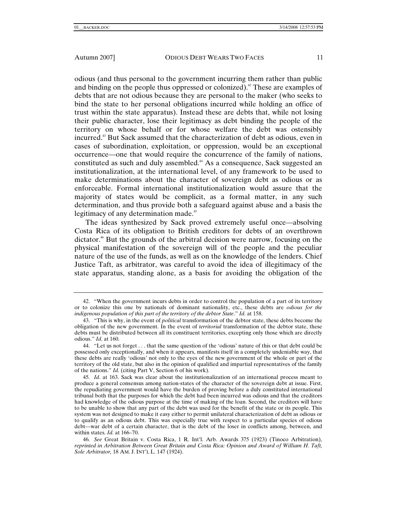odious (and thus personal to the government incurring them rather than public and binding on the people thus oppressed or colonized).<sup>42</sup> These are examples of debts that are not odious because they are personal to the maker (who seeks to bind the state to her personal obligations incurred while holding an office of trust within the state apparatus). Instead these are debts that, while not losing their public character, lose their legitimacy as debt binding the people of the territory on whose behalf or for whose welfare the debt was ostensibly incurred.43 But Sack assumed that the characterization of debt as odious, even in cases of subordination, exploitation, or oppression, would be an exceptional occurrence—one that would require the concurrence of the family of nations, constituted as such and duly assembled.44 As a consequence, Sack suggested an institutionalization, at the international level, of any framework to be used to make determinations about the character of sovereign debt as odious or as enforceable. Formal international institutionalization would assure that the majority of states would be complicit, as a formal matter, in any such determination, and thus provide both a safeguard against abuse and a basis the legitimacy of any determination made.<sup>45</sup>

The ideas synthesized by Sack proved extremely useful once—absolving Costa Rica of its obligation to British creditors for debts of an overthrown dictator.46 But the grounds of the arbitral decision were narrow, focusing on the physical manifestation of the sovereign will of the people and the peculiar nature of the use of the funds, as well as on the knowledge of the lenders. Chief Justice Taft, as arbitrator, was careful to avoid the idea of illegitimacy of the state apparatus, standing alone, as a basis for avoiding the obligation of the

46*. See* Great Britain v. Costa Rica, 1 R. Int'l. Arb. Awards 375 (1923) (Tinoco Arbitration), *reprinted in Arbitration Between Great Britain and Costa Rica: Opinion and Award of William H. Taft, Sole Arbitrator,* 18 AM. J. INT'L L. 147 (1924).

 <sup>42. &</sup>quot;When the government incurs debts in order to control the population of a part of its territory or to colonize this one by nationals of dominant nationality, etc., these debts are *odious for the indigenous population of this part of the territory of the debtor State*." *Id.* at 158.

 <sup>43. &</sup>quot;This is why, in the event of *political* transformation of the debtor state, these debts become the obligation of the new government. In the event of *territorial* transformation of the debtor state, these debts must be distributed between all its constituent territories, excepting only those which are directly odious." *Id*. at 160.

 <sup>44. &</sup>quot;Let us not forget . . . that the same question of the 'odious' nature of this or that debt could be possessed only exceptionally, and when it appears, manifests itself in a completely undeniable way, that these debts are really 'odious' not only to the eyes of the new government of the whole or part of the territory of the old state, but also in the opinion of qualified and impartial representatives of the family of the nations." *Id.* (citing Part V, Section 6 of his work).

<sup>45</sup>*. Id*. at 163. Sack was clear about the institutionalization of an international process meant to produce a general consensus among nation-states of the character of the sovereign debt at issue. First, the repudiating government would have the burden of proving before a duly constituted international tribunal both that the purposes for which the debt had been incurred was odious and that the creditors had knowledge of the odious purpose at the time of making of the loan. Second, the creditors will have to be unable to show that any part of the debt was used for the benefit of the state or its people. This system was not designed to make it easy either to permit unilateral characterization of debt as odious or to qualify as an odious debt. This was especially true with respect to a particular species of odious debt—war debt of a certain character, that is the debt of the loser in conflicts among, between, and within states. *Id.* at 166–70.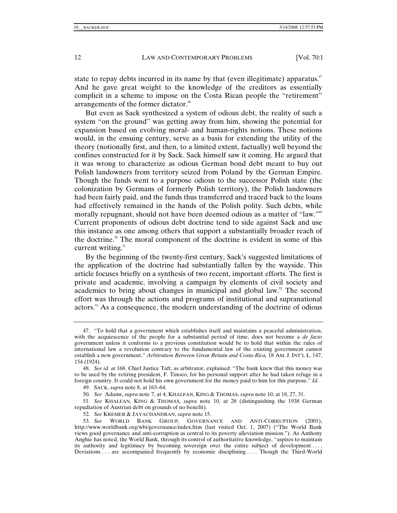state to repay debts incurred in its name by that (even illegitimate) apparatus.<sup>47</sup> And he gave great weight to the knowledge of the creditors as essentially complicit in a scheme to impose on the Costa Rican people the "retirement" arrangements of the former dictator.<sup>48</sup>

But even as Sack synthesized a system of odious debt, the reality of such a system "on the ground" was getting away from him, showing the potential for expansion based on evolving moral- and human-rights notions. These notions would, in the ensuing century, serve as a basis for extending the utility of the theory (notionally first, and then, to a limited extent, factually) well beyond the confines constructed for it by Sack. Sack himself saw it coming. He argued that it was wrong to characterize as odious German bond debt meant to buy out Polish landowners from territory seized from Poland by the German Empire. Though the funds went to a purpose odious to the successor Polish state (the colonization by Germans of formerly Polish territory), the Polish landowners had been fairly paid, and the funds thus transferred and traced back to the loans had effectively remained in the hands of the Polish polity. Such debts, while morally repugnant, should not have been deemed odious as a matter of "law."<sup>49</sup> Current proponents of odious debt doctrine tend to side against Sack and use this instance as one among others that support a substantially broader reach of the doctrine.<sup>50</sup> The moral component of the doctrine is evident in some of this current writing.<sup>51</sup>

By the beginning of the twenty-first century, Sack's suggested limitations of the application of the doctrine had substantially fallen by the wayside. This article focuses briefly on a synthesis of two recent, important efforts. The first is private and academic, involving a campaign by elements of civil society and academics to bring about changes in municipal and global law.<sup>52</sup> The second effort was through the actions and programs of institutional and supranational actors.53 As a consequence, the modern understanding of the doctrine of odious

49. SACK, *supra* note 8, at 163–64.

50*. See* Adams, *supra* note 7, at 4; KHALFAN, KING & THOMAS, *supra* note 10, at 18, 27, 31.

51*. See* KHALFAN, KING & THOMAS, *supra* note 10, at 28 (distinguishing the 1938 German repudiation of Austrian debt on grounds of no benefit).

- 52*. See* KREMER & JAYACHANDRAN, *supra* note 15.
- 53*. See* WORLD BANK GROUP, GOVERNANCE AND ANTI-CORRUPTION (2001), http://www.worldbank.org/wbi/governance/index.htm (last visited Oct. 1, 2007) ("The World Bank views good governance and anti-corruption as central to its poverty alleviation mission."). As Anthony Anghie has noted, the World Bank, through its control of authoritative knowledge, "aspires to maintain its authority and legitimacy by becoming sovereign over the entire subject of development . . . . Deviations . . . are accompanied frequently by economic disciplining . . . . Though the Third-World

 <sup>47. &</sup>quot;To hold that a government which establishes itself and maintains a peaceful administration, with the acquiescence of the people for a substantial period of time, does not become a *de facto* government unless it conforms to a previous constitution would be to hold that within the rules of international law a revolution contrary to the fundamental law of the existing government cannot establish a new government." *Arbitration Between Great Britain and Costa-Rica,* 18 AM. J. INT'L L. 147, 154 (1924).

<sup>48</sup>*. See id*. *at* 168. Chief Justice Taft, as arbitrator, explained: "The bank knew that this money was to be used by the retiring president, F. Tinoco, for his personal support after he had taken refuge in a foreign country. It could not hold his own government for the money paid to him for this purpose." *Id*.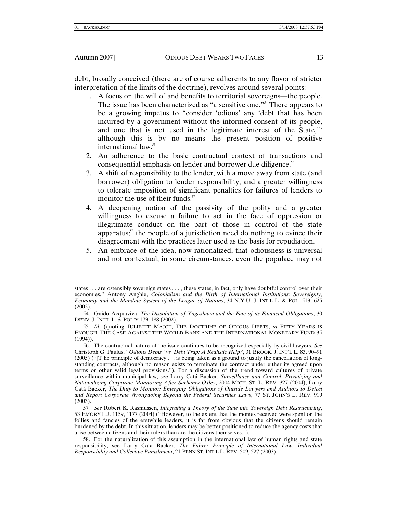debt, broadly conceived (there are of course adherents to any flavor of stricter interpretation of the limits of the doctrine), revolves around several points:

- 1. A focus on the will of and benefits to territorial sovereigns—the people. The issue has been characterized as "a sensitive one."54 There appears to be a growing impetus to "consider 'odious' any 'debt that has been incurred by a government without the informed consent of its people, and one that is not used in the legitimate interest of the State,'" although this is by no means the present position of positive international law.55
- 2. An adherence to the basic contractual context of transactions and consequential emphasis on lender and borrower due diligence.<sup>56</sup>
- 3. A shift of responsibility to the lender, with a move away from state (and borrower) obligation to lender responsibility, and a greater willingness to tolerate imposition of significant penalties for failures of lenders to monitor the use of their funds. $57$
- 4. A deepening notion of the passivity of the polity and a greater willingness to excuse a failure to act in the face of oppression or illegitimate conduct on the part of those in control of the state apparatus;<sup>58</sup> the people of a jurisdiction need do nothing to evince their disagreement with the practices later used as the basis for repudiation.
- 5. An embrace of the idea, now rationalized, that odiousness is universal and not contextual; in some circumstances, even the populace may not

states . . . are ostensibly sovereign states . . . , these states, in fact, only have doubtful control over their economies." Antony Anghie, *Colonialism and the Birth of International Institutions: Sovereignty, Economy and the Mandate System of the League of Nations*, 34 N.Y.U. J. INT'L L. & POL. 513, 625 (2002).

 <sup>54.</sup> Guido Acquaviva, *The Dissolution of Yugoslavia and the Fate of its Financial Obligations*, 30 DENV. J. INT'L L. & POL'Y 173, 188 (2002).

<sup>55</sup>*. Id.* (quoting JULIETTE MAJOT, THE DOCTRINE OF ODIOUS DEBTS, *in* FIFTY YEARS IS ENOUGH: THE CASE AGAINST THE WORLD BANK AND THE INTERNATIONAL MONETARY FUND 35 (1994)).

 <sup>56.</sup> The contractual nature of the issue continues to be recognized especially by civil lawyers. *See* Christoph G. Paulus, "*Odious Debts" vs. Debt Trap: A Realistic Help?*, 31 BROOK. J. INT'L L. 83, 90–91  $(2005)$  ("The principle of democracy ... is being taken as a ground to justify the cancellation of longstanding contracts, although no reason exists to terminate the contract under either its agreed upon terms or other valid legal provisions."). For a discussion of the trend toward cultures of private surveillance within municipal law, see Larry Catá Backer, *Surveillance and Control: Privatizing and Nationalizing Corporate Monitoring After Sarbanes-Oxley*, 2004 MICH. ST. L. REV. 327 (2004); Larry Catá Backer, *The Duty to Monitor: Emerging Obligations of Outside Lawyers and Auditors to Detect and Report Corporate Wrongdoing Beyond the Federal Securities Laws*, 77 ST. JOHN'S L. REV. 919 (2003).

<sup>57</sup>*. See* Robert K. Rasmussen, *Integrating a Theory of the State into Sovereign Debt Restructuring*, 53 EMORY L.J. 1159, 1177 (2004) ("However, to the extent that the monies received were spent on the follies and fancies of the erstwhile leaders, it is far from obvious that the citizens should remain burdened by the debt. In this situation, lenders may be better positioned to reduce the agency costs that arise between citizens and their rulers than are the citizens themselves.").

 <sup>58.</sup> For the naturalization of this assumption in the international law of human rights and state responsibility, see Larry Catá Backer, *The Führer Principle of International Law: Individual Responsibility and Collective Punishment*, 21 PENN ST. INT'L L. REV. 509, 527 (2003).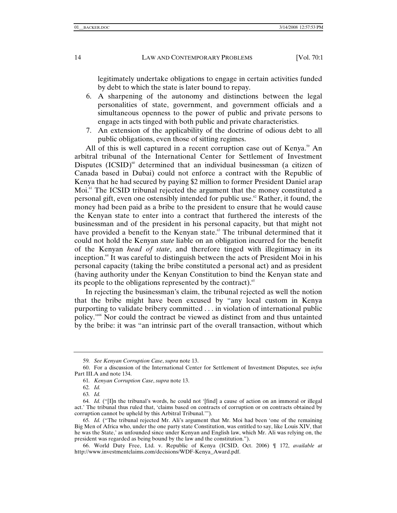legitimately undertake obligations to engage in certain activities funded by debt to which the state is later bound to repay.

- 6. A sharpening of the autonomy and distinctions between the legal personalities of state, government, and government officials and a simultaneous openness to the power of public and private persons to engage in acts tinged with both public and private characteristics.
- 7. An extension of the applicability of the doctrine of odious debt to all public obligations, even those of sitting regimes.

All of this is well captured in a recent corruption case out of Kenya.<sup>59</sup> An arbitral tribunal of the International Center for Settlement of Investment Disputes  $(ICSID)$ <sup>60</sup> determined that an individual businessman (a citizen of Canada based in Dubai) could not enforce a contract with the Republic of Kenya that he had secured by paying \$2 million to former President Daniel arap Moi.<sup>61</sup> The ICSID tribunal rejected the argument that the money constituted a personal gift, even one ostensibly intended for public use.<sup> $\alpha$ </sup> Rather, it found, the money had been paid as a bribe to the president to ensure that he would cause the Kenyan state to enter into a contract that furthered the interests of the businessman and of the president in his personal capacity, but that might not have provided a benefit to the Kenyan state.<sup>63</sup> The tribunal determined that it could not hold the Kenyan *state* liable on an obligation incurred for the benefit of the Kenyan *head of state*, and therefore tinged with illegitimacy in its inception.64 It was careful to distinguish between the acts of President Moi in his personal capacity (taking the bribe constituted a personal act) and as president (having authority under the Kenyan Constitution to bind the Kenyan state and its people to the obligations represented by the contract).<sup>65</sup>

In rejecting the businessman's claim, the tribunal rejected as well the notion that the bribe might have been excused by "any local custom in Kenya purporting to validate bribery committed . . . in violation of international public policy."66 Nor could the contract be viewed as distinct from and thus untainted by the bribe: it was "an intrinsic part of the overall transaction, without which

<sup>59</sup>*. See Kenyan Corruption Case*, *supra* note 13.

 <sup>60.</sup> For a discussion of the International Center for Settlement of Investment Disputes, see *infra* Part III.A and note 134.

<sup>61</sup>*. Kenyan Corruption Case*, *supra* note 13.

<sup>62</sup>*. Id.*

<sup>63</sup>*. Id.*

<sup>64</sup>*. Id.* ("[I]n the tribunal's words, he could not '[find] a cause of action on an immoral or illegal act.' The tribunal thus ruled that, 'claims based on contracts of corruption or on contracts obtained by corruption cannot be upheld by this Arbitral Tribunal.'").

<sup>65</sup>*. Id.* ("The tribunal rejected Mr. Ali's argument that Mr. Moi had been 'one of the remaining Big Men of Africa who, under the one party state Constitution, was entitled to say, like Louis XIV, that he was the State,' as unfounded since under Kenyan and English law, which Mr. Ali was relying on, the president was regarded as being bound by the law and the constitution.").

 <sup>66.</sup> World Duty Free, Ltd. v. Republic of Kenya (ICSID, Oct. 2006) ¶ 172, *available at*  http://www.investmentclaims.com/decisions/WDF-Kenya\_Award.pdf.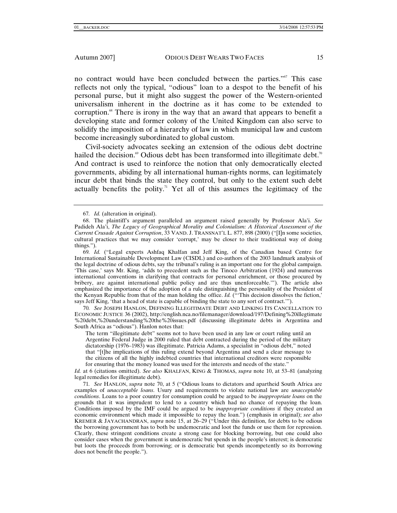no contract would have been concluded between the parties."<sup>67</sup> This case reflects not only the typical, "odious" loan to a despot to the benefit of his personal purse, but it might also suggest the power of the Western-oriented universalism inherent in the doctrine as it has come to be extended to corruption.<sup>68</sup> There is irony in the way that an award that appears to benefit a developing state and former colony of the United Kingdom can also serve to solidify the imposition of a hierarchy of law in which municipal law and custom become increasingly subordinated to global custom.

Civil-society advocates seeking an extension of the odious debt doctrine hailed the decision.<sup>69</sup> Odious debt has been transformed into illegitimate debt.<sup>70</sup> And contract is used to reinforce the notion that only democratically elected governments, abiding by all international human-rights norms, can legitimately incur debt that binds the state they control, but only to the extent such debt actually benefits the polity.<sup>71</sup> Yet all of this assumes the legitimacy of the

69*. Id.* ("Legal experts Ashfaq Khalfan and Jeff King, of the Canadian based Centre for International Sustainable Development Law (CISDL) and co-authors of the 2003 landmark analysis of the legal doctrine of odious debts, say the tribunal's ruling is an important one for the global campaign. 'This case,' says Mr. King, 'adds to precedent such as the Tinoco Arbitration (1924) and numerous international conventions in clarifying that contracts for personal enrichment, or those procured by bribery, are against international public policy and are thus unenforceable."). The article also emphasized the importance of the adoption of a rule distinguishing the personality of the President of the Kenyan Republic from that of the man holding the office. *Id.* ("'This decision dissolves the fiction,' says Jeff King, 'that a head of state is capable of binding the state to any sort of contract.'").

70*. See* JOSEPH HANLON, DEFINING ILLEGITIMATE DEBT AND LINKING ITS CANCELLATION TO ECONOMIC JUSTICE 36 (2002), http://english.nca.no/filemanager/download/197/Defining%20illegtimate %20debt,%20understanding%20the%20issues.pdf (discussing illegitimate debts in Argentina and South Africa as "odious"). Hanlon notes that:

The term "illegitimate debt" seems not to have been used in any law or court ruling until an Argentine Federal Judge in 2000 ruled that debt contracted during the period of the military dictatorship (1976–1983) was illegitimate. Patricia Adams, a specialist in "odious debt," noted that "[t]he implications of this ruling extend beyond Argentina and send a clear message to the citizens of all the highly indebted countries that international creditors were responsible for ensuring that the money loaned was used for the interests and needs of the state."

*Id.* at 6 (citations omitted). *See also* KHALFAN, KING & THOMAS, *supra* note 10, at 53–81 (analyzing legal remedies for illegitimate debt).

71*. See* HANLON, *supra* note 70, at 5 ("Odious loans to dictators and apartheid South Africa are examples of *unacceptable loans*. Usury and requirements to violate national law are *unacceptable conditions*. Loans to a poor country for consumption could be argued to be *inappropriate loans* on the grounds that it was imprudent to lend to a country which had no chance of repaying the loan. Conditions imposed by the IMF could be argued to be *inappropriate conditions* if they created an economic environment which made it impossible to repay the loan.") (emphasis in original); *see also* KREMER & JAYACHANDRAN, *supra* note 15, at 26–29 ("Under this definition, for debts to be odious the borrowing government has to both be undemocratic and loot the funds or use them for repression. Clearly, these stringent conditions create a strong case for blocking borrowing, but one could also consider cases when the government is undemocratic but spends in the people's interest; is democratic but loots the proceeds from borrowing; or is democratic but spends incompetently so its borrowing does not benefit the people.").

<sup>67</sup>*. Id.* (alteration in original).

 <sup>68.</sup> The plaintiff's argument paralleled an argument raised generally by Professor Ala'i. *See* Padideh Ala'i, *The Legacy of Geographical Morality and Colonialism: A Historical Assessment of the Current Crusade Against Corruption*, 33 VAND. J. TRANSNAT'L L. 877, 898 (2000) ("[I]n some societies, cultural practices that we may consider 'corrupt,' may be closer to their traditional way of doing things.").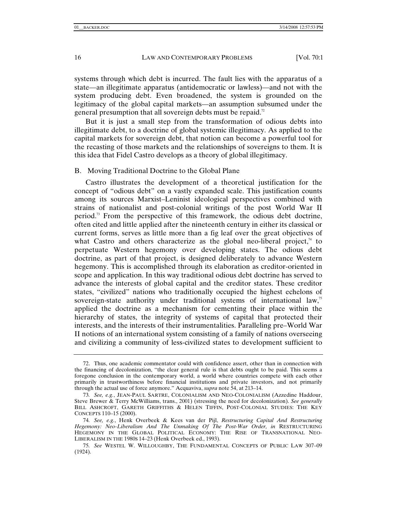systems through which debt is incurred. The fault lies with the apparatus of a state—an illegitimate apparatus (antidemocratic or lawless)—and not with the system producing debt. Even broadened, the system is grounded on the legitimacy of the global capital markets—an assumption subsumed under the general presumption that all sovereign debts must be repaid.<sup>72</sup>

But it is just a small step from the transformation of odious debts into illegitimate debt, to a doctrine of global systemic illegitimacy. As applied to the capital markets for sovereign debt, that notion can become a powerful tool for the recasting of those markets and the relationships of sovereigns to them. It is this idea that Fidel Castro develops as a theory of global illegitimacy.

#### B. Moving Traditional Doctrine to the Global Plane

Castro illustrates the development of a theoretical justification for the concept of "odious debt" on a vastly expanded scale. This justification counts among its sources Marxist–Leninist ideological perspectives combined with strains of nationalist and post-colonial writings of the post World War II period.73 From the perspective of this framework, the odious debt doctrine, often cited and little applied after the nineteenth century in either its classical or current forms, serves as little more than a fig leaf over the great objectives of what Castro and others characterize as the global neo-liberal project, $4\pi$  to perpetuate Western hegemony over developing states. The odious debt doctrine, as part of that project, is designed deliberately to advance Western hegemony. This is accomplished through its elaboration as creditor-oriented in scope and application. In this way traditional odious debt doctrine has served to advance the interests of global capital and the creditor states. These creditor states, "civilized" nations who traditionally occupied the highest echelons of sovereign-state authority under traditional systems of international law,<sup>75</sup> applied the doctrine as a mechanism for cementing their place within the hierarchy of states, the integrity of systems of capital that protected their interests, and the interests of their instrumentalities. Paralleling pre–World War II notions of an international system consisting of a family of nations overseeing and civilizing a community of less-civilized states to development sufficient to

 <sup>72.</sup> Thus, one academic commentator could with confidence assert, other than in connection with the financing of decolonization, "the clear general rule is that debts ought to be paid. This seems a foregone conclusion in the contemporary world, a world where countries compete with each other primarily in trustworthiness before financial institutions and private investors, and not primarily through the actual use of force anymore." Acquaviva, *supra* note 54, at 213–14.

<sup>73</sup>*. See, e.g.*, JEAN-PAUL SARTRE, COLONIALISM AND NEO-COLONIALISM (Azzedine Haddour, Steve Brewer & Terry McWilliams, trans., 2001) (stressing the need for decolonization). *See generally* BILL ASHCROFT, GARETH GRIFFITHS & HELEN TIFFIN, POST-COLONIAL STUDIES: THE KEY CONCEPTS 110–15 (2000).

<sup>74</sup>*. See, e.g.*, Henk Overbeek & Kees van der Pijl, *Restructuring Capital And Restructuring Hegemony: Neo-Liberalism And The Unmaking Of The Post-War Order, in* RESTRUCTURING HEGEMONY IN THE GLOBAL POLITICAL ECONOMY: THE RISE OF TRANSNATIONAL NEO-LIBERALISM IN THE 1980S 14–23 (Henk Overbeek ed., 1993).

<sup>75</sup>*. See* WESTEL W. WILLOUGHBY, THE FUNDAMENTAL CONCEPTS OF PUBLIC LAW 307–09 (1924).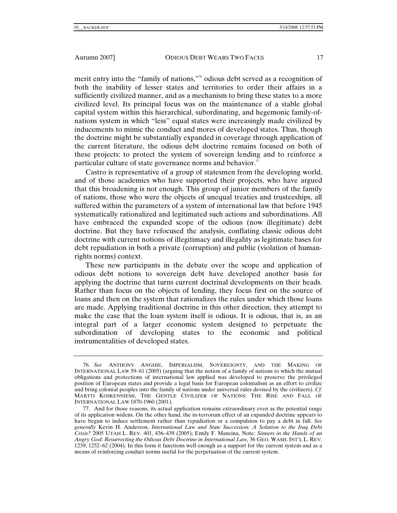merit entry into the "family of nations,"76 odious debt served as a recognition of both the inability of lesser states and territories to order their affairs in a sufficiently civilized manner, and as a mechanism to bring these states to a more civilized level. Its principal focus was on the maintenance of a stable global capital system within this hierarchical, subordinating, and hegemonic family-ofnations system in which "less" equal states were increasingly made civilized by inducements to mimic the conduct and mores of developed states. Thus, though the doctrine might be substantially expanded in coverage through application of the current literature, the odious debt doctrine remains focused on both of these projects: to protect the system of sovereign lending and to reinforce a particular culture of state governance norms and behavior.<sup>77</sup>

Castro is representative of a group of statesmen from the developing world, and of those academics who have supported their projects, who have argued that this broadening is not enough. This group of junior members of the family of nations, those who were the objects of unequal treaties and trusteeships, all suffered within the parameters of a system of international law that before 1945 systematically rationalized and legitimated such actions and subordinations. All have embraced the expanded scope of the odious (now illegitimate) debt doctrine. But they have refocused the analysis, conflating classic odious debt doctrine with current notions of illegitimacy and illegality as legitimate bases for debt repudiation in both a private (corruption) and public (violation of humanrights norms) context.

These new participants in the debate over the scope and application of odious debt notions to sovereign debt have developed another basis for applying the doctrine that turns current doctrinal developments on their heads. Rather than focus on the objects of lending, they focus first on the source of loans and then on the system that rationalizes the rules under which those loans are made. Applying traditional doctrine in this other direction, they attempt to make the case that the loan system itself is odious. It is odious, that is, as an integral part of a larger economic system designed to perpetuate the subordination of developing states to the economic and political instrumentalities of developed states.

<sup>76</sup>*. See* ANTHONY ANGHIE, IMPERIALISM, SOVEREIGNTY, AND THE MAKING OF INTERNATIONAL LAW 59–61 (2005) (arguing that the notion of a family of nations to which the mutual obligations and protections of international law applied was developed to preserve the privileged position of European states and provide a legal basis for European colonialism as an effort to civilize and bring colonial peoples into the family of nations under universal rules devised by the civilizers). *Cf.* MARTTI KOSKENNIEMI, THE GENTLE CIVILIZER OF NATIONS: THE RISE AND FALL OF INTERNATIONAL LAW 1870-1960 (2001).

 <sup>77.</sup> And for those reasons, its actual application remains extraordinary even as the potential range of its application widens. On the other hand, the in-terrorum effect of an expanded doctrine appears to have begun to induce settlement rather than repudiation or a compulsion to pay a debt in full. *See generally* Kevin H. Anderson, *International Law and State Succession: A Solution to the Iraq Debt Crisis?* 2005 UTAH L. REV. 401, 436–439 (2005); Emily F. Mancina, Note*: Sinners in the Hands of an Angry God: Resurrecting the Odious Debt Doctrine in International Law,* 36 GEO. WASH. INT'L L. REV. 1239, 1252–62 (2004). In this form it functions well enough as a support for the current system and as a means of reinforcing conduct norms useful for the perpetuation of the current system.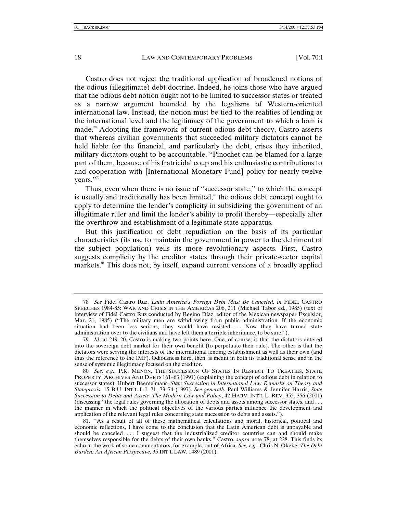Castro does not reject the traditional application of broadened notions of the odious (illegitimate) debt doctrine. Indeed, he joins those who have argued that the odious debt notion ought not to be limited to successor states or treated as a narrow argument bounded by the legalisms of Western-oriented international law. Instead, the notion must be tied to the realities of lending at the international level and the legitimacy of the government to which a loan is made.78 Adopting the framework of current odious debt theory, Castro asserts that whereas civilian governments that succeeded military dictators cannot be held liable for the financial, and particularly the debt, crises they inherited, military dictators ought to be accountable. "Pinochet can be blamed for a large part of them, because of his fratricidal coup and his enthusiastic contributions to and cooperation with [International Monetary Fund] policy for nearly twelve years."<sup>79</sup>

Thus, even when there is no issue of "successor state," to which the concept is usually and traditionally has been limited, $\delta$ <sup>®</sup> the odious debt concept ought to apply to determine the lender's complicity in subsidizing the government of an illegitimate ruler and limit the lender's ability to profit thereby—especially after the overthrow and establishment of a legitimate state apparatus.

But this justification of debt repudiation on the basis of its particular characteristics (its use to maintain the government in power to the detriment of the subject population) veils its more revolutionary aspects. First, Castro suggests complicity by the creditor states through their private-sector capital markets.<sup>81</sup> This does not, by itself, expand current versions of a broadly applied

<sup>78</sup>*. See* Fidel Castro Ruz, *Latin America's Foreign Debt Must Be Canceled, in* FIDEL CASTRO SPEECHES 1984-85: WAR AND CRISIS IN THE AMERICAS 206, 211 (Michael Tabor ed., 1985) (text of interview of Fidel Castro Ruz conducted by Regino Díaz, editor of the Mexican newspaper Excelsior, Mar. 21, 1985) ("The military men are withdrawing from public administration. If the economic situation had been less serious, they would have resisted .... Now they have turned state administration over to the civilians and have left them a terrible inheritance, to be sure.").

<sup>79</sup>*. Id.* at 219–20. Castro is making two points here. One, of course, is that the dictators entered into the sovereign debt market for their own benefit (to perpetuate their rule). The other is that the dictators were serving the interests of the international lending establishment as well as their own (and thus the reference to the IMF). Odiousness here, then, is meant in both its traditional sense and in the sense of systemic illegitimacy focused on the creditor.

<sup>80</sup>*. See, e.g*., P.K. MENON, THE SUCCESSION OF STATES IN RESPECT TO TREATIES, STATE PROPERTY, ARCHIVES AND DEBTS 161–63 (1991) (explaining the concept of odious debt in relation to successor states); Hubert Beemelmans, *State Succession in International Law: Remarks on Theory and Statepraxis*, 15 B.U. INT'L L.J. 71, 73–74 (1997). *See generally* Paul Williams & Jennifer Harris, *State Succession to Debts and Assets: The Modern Law and Policy*, 42 HARV. INT'L L. REV. 355, 356 (2001) (discussing "the legal rules governing the allocation of debts and assets among successor states, and . . . the manner in which the political objectives of the various parties influence the development and application of the relevant legal rules concerning state succession to debts and assets.").

 <sup>81. &</sup>quot;As a result of all of these mathematical calculations and moral, historical, political and economic reflections, I have come to the conclusion that the Latin American debt is unpayable and should be canceled .... I suggest that the industrialized creditor countries can and should make themselves responsible for the debts of their own banks." Castro, *supra* note 78, at 228. This finds its echo in the work of some commentators, for example, out of Africa. *See, e.g.*, Chris N. Okeke, *The Debt Burden: An African Perspective,* 35 INT'L LAW. 1489 (2001).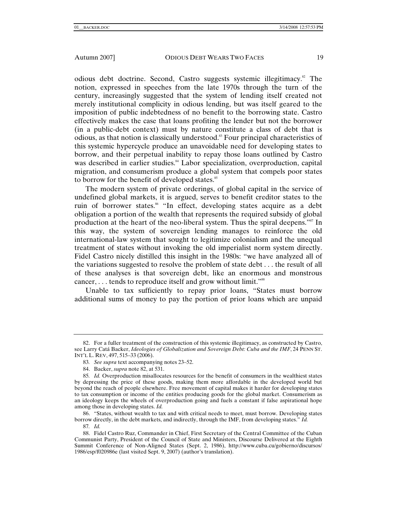odious debt doctrine. Second, Castro suggests systemic illegitimacy.<sup>82</sup> The notion, expressed in speeches from the late 1970s through the turn of the century, increasingly suggested that the system of lending itself created not merely institutional complicity in odious lending, but was itself geared to the imposition of public indebtedness of no benefit to the borrowing state. Castro effectively makes the case that loans profiting the lender but not the borrower (in a public-debt context) must by nature constitute a class of debt that is odious, as that notion is classically understood.83 Four principal characteristics of this systemic hypercycle produce an unavoidable need for developing states to borrow, and their perpetual inability to repay those loans outlined by Castro was described in earlier studies.<sup>84</sup> Labor specialization, overproduction, capital migration, and consumerism produce a global system that compels poor states to borrow for the benefit of developed states.<sup>85</sup>

The modern system of private orderings, of global capital in the service of undefined global markets, it is argued, serves to benefit creditor states to the ruin of borrower states.<sup>86</sup> "In effect, developing states acquire as a debt obligation a portion of the wealth that represents the required subsidy of global production at the heart of the neo-liberal system. Thus the spiral deepens."87 In this way, the system of sovereign lending manages to reinforce the old international-law system that sought to legitimize colonialism and the unequal treatment of states without invoking the old imperialist norm system directly. Fidel Castro nicely distilled this insight in the 1980s: "we have analyzed all of the variations suggested to resolve the problem of state debt . . . the result of all of these analyses is that sovereign debt, like an enormous and monstrous cancer, . . . tends to reproduce itself and grow without limit."<sup>88</sup>

Unable to tax sufficiently to repay prior loans, "States must borrow additional sums of money to pay the portion of prior loans which are unpaid

 86. "States, without wealth to tax and with critical needs to meet, must borrow. Developing states borrow directly, in the debt markets, and indirectly, through the IMF, from developing states." *Id.*

87*. Id.*

 <sup>82.</sup> For a fuller treatment of the construction of this systemic illegitimacy, as constructed by Castro, see Larry Catá Backer, *Ideologies of Globalization and Sovereign Debt: Cuba and the IMF*, 24 PENN ST. INT'L L. REV, 497, 515–33 (2006).

<sup>83</sup>*. See supra* text accompanying notes 23–52.

 <sup>84.</sup> Backer, *supra* note 82, at 531.

<sup>85</sup>*. Id.* Overproduction misallocates resources for the benefit of consumers in the wealthiest states by depressing the price of these goods, making them more affordable in the developed world but beyond the reach of people elsewhere. Free movement of capital makes it harder for developing states to tax consumption or income of the entities producing goods for the global market. Consumerism as an ideology keeps the wheels of overproduction going and fuels a constant if false aspirational hope among those in developing states. *Id.*

 <sup>88.</sup> Fidel Castro Ruz, Commander in Chief, First Secretary of the Central Committee of the Cuban Communist Party, President of the Council of State and Ministers, Discourse Delivered at the Eighth Summit Conference of Non-Aligned States (Sept. 2, 1986), http://www.cuba.cu/gobierno/discursos/ 1986/esp/f020986e (last visited Sept. 9, 2007) (author's translation).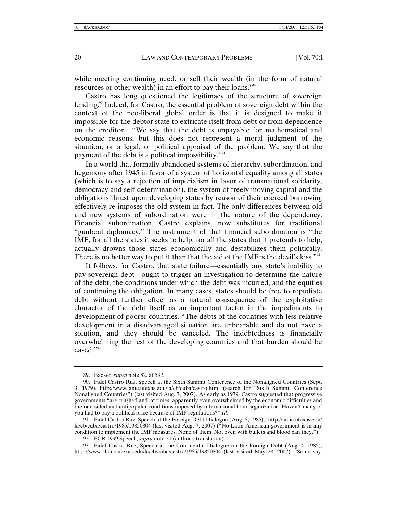while meeting continuing need, or sell their wealth (in the form of natural resources or other wealth) in an effort to pay their loans."89

Castro has long questioned the legitimacy of the structure of sovereign lending.<sup>90</sup> Indeed, for Castro, the essential problem of sovereign debt within the context of the neo-liberal global order is that it is designed to make it impossible for the debtor state to extricate itself from debt or from dependence on the creditor. "We say that the debt is unpayable for mathematical and economic reasons, but this does not represent a moral judgment of the situation, or a legal, or political appraisal of the problem. We say that the payment of the debt is a political impossibility."<sup>91</sup>

In a world that formally abandoned systems of hierarchy, subordination, and hegemony after 1945 in favor of a system of horizontal equality among all states (which is to say a rejection of imperialism in favor of transnational solidarity, democracy and self-determination), the system of freely moving capital and the obligations thrust upon developing states by reason of their coerced borrowing effectively re-imposes the old system in fact. The only differences between old and new systems of subordination were in the nature of the dependency. Financial subordination, Castro explains, now substitutes for traditional "gunboat diplomacy." The instrument of that financial subordination is "the IMF, for all the states it seeks to help, for all the states that it pretends to help, actually drowns those states economically and destabilizes them politically. There is no better way to put it than that the aid of the IMF is the devil's kiss."<sup>92</sup>

It follows, for Castro, that state failure—essentially any state's inability to pay sovereign debt—ought to trigger an investigation to determine the nature of the debt, the conditions under which the debt was incurred, and the equities of continuing the obligation. In many cases, states should be free to repudiate debt without further effect as a natural consequence of the exploitative character of the debt itself as an important factor in the impediments to development of poorer countries. "The debts of the countries with less relative development in a disadvantaged situation are unbearable and do not have a solution, and they should be canceled. The indebtedness is financially overwhelming the rest of the developing countries and that burden should be eased."<sup>93</sup>

92. FCR 1999 Speech, *supra* note 20 (author's translation).

 <sup>89.</sup> Backer, *supra* note 82, at 532.

 <sup>90.</sup> Fidel Castro Ruz, Speech at the Sixth Summit Conference of the Nonaligned Countries (Sept. 3, 1979), http://www.lanic.utexas.edu/la/cb/cuba/castro.html (search for "Sixth Summit Conference Nonaligned Countries") (last visited Aug. 7, 2007). As early as 1979, Castro suggested that progressive governments "are crushed and, at times, apparently even overwhelmed by the economic difficulties and the one-sided and antipopular conditions imposed by international loan organization. Haven't many of you had to pay a political price because of IMF regulations?" *Id.* 

 <sup>91.</sup> Fidel Castro Ruz, Speech at the Foreign Debt Dialogue (Aug. 8, 1985), http://lanic.utexas.edu/ la/cb/cuba/castro/1985/19850804 (last visited Aug. 7, 2007) ("No Latin American government is in any condition to implement the IMF measures. None of them. Not even with bullets and blood can they.").

 <sup>93.</sup> Fidel Castro Ruz, Speech at the Continental Dialogue on the Foreign Debt (Aug. 4, 1985), http://www1.lanic.utexas.edu/la/cb/cuba/castro/1985/19850804 (last visited May 28, 2007). "Some say: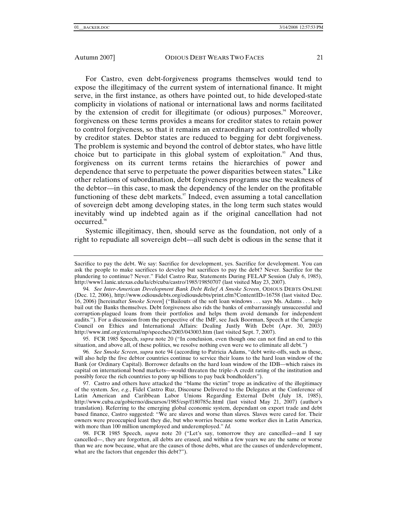For Castro, even debt-forgiveness programs themselves would tend to expose the illegitimacy of the current system of international finance. It might serve, in the first instance, as others have pointed out, to hide developed-state complicity in violations of national or international laws and norms facilitated by the extension of credit for illegitimate (or odious) purposes. $4^{\circ}$  Moreover, forgiveness on these terms provides a means for creditor states to retain power to control forgiveness, so that it remains an extraordinary act controlled wholly by creditor states. Debtor states are reduced to begging for debt forgiveness. The problem is systemic and beyond the control of debtor states, who have little choice but to participate in this global system of exploitation.<sup>95</sup> And thus, forgiveness on its current terms retains the hierarchies of power and dependence that serve to perpetuate the power disparities between states.<sup>96</sup> Like other relations of subordination, debt forgiveness programs use the weakness of the debtor—in this case, to mask the dependency of the lender on the profitable functioning of these debt markets. $\theta$ <sup>7</sup> Indeed, even assuming a total cancellation of sovereign debt among developing states, in the long term such states would inevitably wind up indebted again as if the original cancellation had not occurred.98

Systemic illegitimacy, then, should serve as the foundation, not only of a right to repudiate all sovereign debt—all such debt is odious in the sense that it

Sacrifice to pay the debt. We say: Sacrifice for development, yes. Sacrifice for development. You can ask the people to make sacrifices to develop but sacrifices to pay the debt? Never. Sacrifice for the plundering to continue? Never." Fidel Castro Ruz, Statements During FELAP Session (July 6, 1985), http://www1.lanic.utexas.edu/la/cb/cuba/castro/1985/19850707 (last visited May 23, 2007).

<sup>94</sup>*. See Inter-American Development Bank Debt Relief A Smoke Screen*, ODIOUS DEBTS ONLINE (Dec. 12, 2006), http://www.odiousdebts.org/odiousdebts/print.cfm?ContentID=16758 (last visited Dec. 16, 2006) [hereinafter *Smoke Screen*] ("Bailouts of the soft loan windows . . . says Ms. Adams . . . help bail out the Banks themselves. Debt forgiveness also rids the banks of embarrassingly unsuccessful and corruption-plagued loans from their portfolios and helps them avoid demands for independent audits."). For a discussion from the perspective of the IMF, see Jack Boorman, Speech at the Carnegie Council on Ethics and International Affairs: Dealing Justly With Debt (Apr. 30, 2003) http://www.imf.org/external/np/speeches/2003/043003.htm (last visited Sept. 7, 2007).

 <sup>95.</sup> FCR 1985 Speech, *supra* note 20 ("In conclusion, even though one can not find an end to this situation, and above all, of these politics, we resolve nothing even were we to eliminate all debt.")

<sup>96</sup>*. See Smoke Screen*, *supra* note 94 (according to Patricia Adams, "debt write-offs, such as these, will also help the five debtor countries continue to service their loans to the hard loan window of the Bank (or Ordinary Capital). Borrower defaults on the hard loan window of the IDB—which raises its capital on international bond markets—would threaten the triple-A credit rating of the institution and possibly force the rich countries to pony up billions to pay back bondholders").

 <sup>97.</sup> Castro and others have attacked the "blame the victim" trope as indicative of the illegitimacy of the system. *See, e.g.*, Fidel Castro Ruz, Discourse Delivered to the Delegates at the Conference of Latin American and Caribbean Labor Unions Regarding External Debt (July 18, 1985), http://www.cuba.cu/gobierno/discursos/1985/esp/f180785e.html (last visited May 21, 2007) (author's translation). Referring to the emerging global economic system, dependant on export trade and debt based finance, Castro suggested: "We are slaves and worse than slaves. Slaves were cared for. Their owners were preoccupied least they die, but who worries because some worker dies in Latin America, with more than 100 million unemployed and underemployed." *Id.*

 <sup>98.</sup> FCR 1985 Speech, *supra* note 20 ("Let's say, tomorrow they are cancelled—and I say cancelled—, they are forgotten, all debts are erased, and within a few years we are the same or worse than we are now because, what are the causes of those debts, what are the causes of underdevelopment, what are the factors that engender this debt?").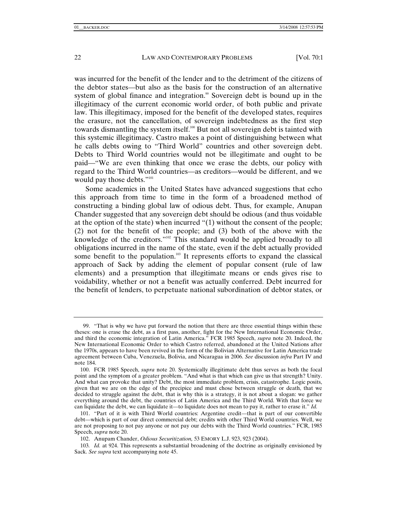was incurred for the benefit of the lender and to the detriment of the citizens of the debtor states—but also as the basis for the construction of an alternative system of global finance and integration.<sup>99</sup> Sovereign debt is bound up in the illegitimacy of the current economic world order, of both public and private law. This illegitimacy, imposed for the benefit of the developed states, requires the erasure, not the cancellation, of sovereign indebtedness as the first step towards dismantling the system itself.<sup>100</sup> But not all sovereign debt is tainted with this systemic illegitimacy. Castro makes a point of distinguishing between what he calls debts owing to "Third World" countries and other sovereign debt. Debts to Third World countries would not be illegitimate and ought to be paid—"We are even thinking that once we erase the debts, our policy with regard to the Third World countries—as creditors—would be different, and we would pay those debts."<sup>101</sup>

Some academics in the United States have advanced suggestions that echo this approach from time to time in the form of a broadened method of constructing a binding global law of odious debt. Thus, for example, Anupan Chander suggested that any sovereign debt should be odious (and thus voidable at the option of the state) when incurred "(1) without the consent of the people; (2) not for the benefit of the people; and (3) both of the above with the knowledge of the creditors."<sup>102</sup> This standard would be applied broadly to all obligations incurred in the name of the state, even if the debt actually provided some benefit to the population.<sup>103</sup> It represents efforts to expand the classical approach of Sack by adding the element of popular consent (rule of law elements) and a presumption that illegitimate means or ends gives rise to voidability, whether or not a benefit was actually conferred. Debt incurred for the benefit of lenders, to perpetuate national subordination of debtor states, or

 <sup>99. &</sup>quot;That is why we have put forward the notion that there are three essential things within these theses: one is erase the debt, as a first pass, another, fight for the New International Economic Order, and third the economic integration of Latin America." FCR 1985 Speech, *supra* note 20. Indeed, the New International Economic Order to which Castro referred, abandoned at the United Nations after the 1970s, appears to have been revived in the form of the Bolivian Alternative for Latin America trade agreement between Cuba, Venezuela, Bolivia, and Nicaragua in 2006. *See* discussion *infra* Part IV and note 184.

 <sup>100.</sup> FCR 1985 Speech, *supra* note 20. Systemically illegitimate debt thus serves as both the focal point and the symptom of a greater problem. "And what is that which can give us that strength? Unity. And what can provoke that unity? Debt, the most immediate problem, crisis, catastrophe. Logic posits, given that we are on the edge of the precipice and must chose between struggle or death, that we decided to struggle against the debt, that is why this is a strategy, it is not about a slogan: we gather everything around the debt, the countries of Latin America and the Third World. With that force we can liquidate the debt, we can liquidate it—to liquidate does not mean to pay it, rather to erase it." *Id.*

 <sup>101. &</sup>quot;Part of it is with Third World countries: Argentine credit—that is part of our convertible debt—which is part of our direct commercial debt; credits with other Third World countries. Well, we are not proposing to not pay anyone or not pay our debts with the Third World countries." FCR, 1985 Speech, *supra* note 20.

 <sup>102.</sup> Anupam Chander, *Odious Securitization,* 53 EMORY L.J. 923, 923 (2004).

<sup>103</sup>*. Id.* at 924. This represents a substantial broadening of the doctrine as originally envisioned by Sack. *See supra* text accompanying note 45.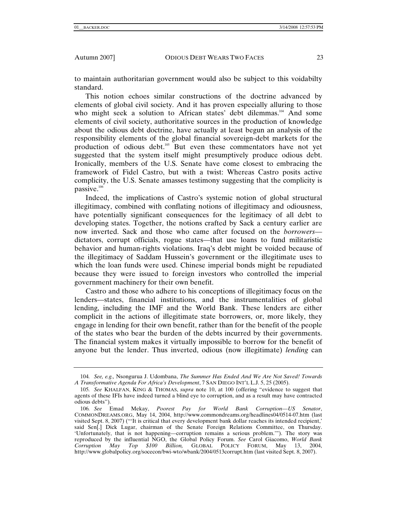to maintain authoritarian government would also be subject to this voidabilty standard.

This notion echoes similar constructions of the doctrine advanced by elements of global civil society. And it has proven especially alluring to those who might seek a solution to African states' debt dilemmas.<sup>104</sup> And some elements of civil society, authoritative sources in the production of knowledge about the odious debt doctrine, have actually at least begun an analysis of the responsibility elements of the global financial sovereign-debt markets for the production of odious debt.<sup>105</sup> But even these commentators have not yet suggested that the system itself might presumptively produce odious debt. Ironically, members of the U.S. Senate have come closest to embracing the framework of Fidel Castro, but with a twist: Whereas Castro posits active complicity, the U.S. Senate amasses testimony suggesting that the complicity is passive. $106$ 

Indeed, the implications of Castro's systemic notion of global structural illegitimacy, combined with conflating notions of illegitimacy and odiousness, have potentially significant consequences for the legitimacy of all debt to developing states. Together, the notions crafted by Sack a century earlier are now inverted. Sack and those who came after focused on the *borrowers* dictators, corrupt officials, rogue states—that use loans to fund militaristic behavior and human-rights violations. Iraq's debt might be voided because of the illegitimacy of Saddam Hussein's government or the illegitimate uses to which the loan funds were used. Chinese imperial bonds might be repudiated because they were issued to foreign investors who controlled the imperial government machinery for their own benefit.

Castro and those who adhere to his conceptions of illegitimacy focus on the lenders—states, financial institutions, and the instrumentalities of global lending, including the IMF and the World Bank. These lenders are either complicit in the actions of illegitimate state borrowers, or, more likely, they engage in lending for their own benefit, rather than for the benefit of the people of the states who bear the burden of the debts incurred by their governments. The financial system makes it virtually impossible to borrow for the benefit of anyone but the lender. Thus inverted, odious (now illegitimate) *lending* can

<sup>104</sup>*. See, e.g.,* Nsongurua J. Udombana, *The Summer Has Ended And We Are Not Saved! Towards A Transformative Agenda For Africa's Development*, 7 SAN DIEGO INT'L L.J. 5, 25 (2005).

<sup>105</sup>*. See* KHALFAN, KING & THOMAS, *supra* note 10, at 100 (offering "evidence to suggest that agents of these IFIs have indeed turned a blind eye to corruption, and as a result may have contracted odious debts").

<sup>106</sup>*. See* Emad Mekay, *Poorest Pay for World Bank Corruption—US Senator*, COMMONDREAMS.ORG, May 14, 2004, http://www.commondreams.org/headlines04/0514-07.htm (last visited Sept. 8, 2007) ("'It is critical that every development bank dollar reaches its intended recipient,' said Sen[.] Dick Lugar, chairman of the Senate Foreign Relations Committee, on Thursday. 'Unfortunately, that is not happening—corruption remains a serious problem.'"). The story was reproduced by the influential NGO, the Global Policy Forum. *See* Carol Giacomo, *World Bank Corruption May Top \$100 Billion,* GLOBAL POLICY FORUM, May 13, 2004, http://www.globalpolicy.org/socecon/bwi-wto/wbank/2004/0513corrupt.htm (last visited Sept. 8, 2007).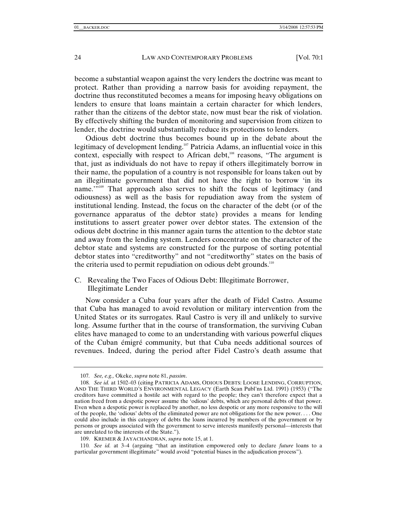become a substantial weapon against the very lenders the doctrine was meant to protect. Rather than providing a narrow basis for avoiding repayment, the doctrine thus reconstituted becomes a means for imposing heavy obligations on lenders to ensure that loans maintain a certain character for which lenders, rather than the citizens of the debtor state, now must bear the risk of violation. By effectively shifting the burden of monitoring and supervision from citizen to lender, the doctrine would substantially reduce its protections to lenders.

Odious debt doctrine thus becomes bound up in the debate about the legitimacy of development lending.<sup>107</sup> Patricia Adams, an influential voice in this context, especially with respect to African debt,<sup>108</sup> reasons, "The argument is that, just as individuals do not have to repay if others illegitimately borrow in their name, the population of a country is not responsible for loans taken out by an illegitimate government that did not have the right to borrow 'in its name."<sup>109</sup> That approach also serves to shift the focus of legitimacy (and odiousness) as well as the basis for repudiation away from the system of institutional lending. Instead, the focus on the character of the debt (or of the governance apparatus of the debtor state) provides a means for lending institutions to assert greater power over debtor states. The extension of the odious debt doctrine in this manner again turns the attention to the debtor state and away from the lending system. Lenders concentrate on the character of the debtor state and systems are constructed for the purpose of sorting potential debtor states into "creditworthy" and not "creditworthy" states on the basis of the criteria used to permit repudiation on odious debt grounds. $110$ 

# C. Revealing the Two Faces of Odious Debt: Illegitimate Borrower, Illegitimate Lender

Now consider a Cuba four years after the death of Fidel Castro. Assume that Cuba has managed to avoid revolution or military intervention from the United States or its surrogates. Raul Castro is very ill and unlikely to survive long. Assume further that in the course of transformation, the surviving Cuban elites have managed to come to an understanding with various powerful cliques of the Cuban émigré community, but that Cuba needs additional sources of revenues. Indeed, during the period after Fidel Castro's death assume that

<sup>107</sup>*. See, e.g.,* Okeke, *supra* note 81, *passim*.

<sup>108</sup>*. See id.* at 1502–03 (citing PATRICIA ADAMS, ODIOUS DEBTS: LOOSE LENDING, CORRUPTION, AND THE THIRD WORLD'S ENVIRONMENTAL LEGACY (Earth Scan Publ'ns Ltd. 1991) (1953) ("The creditors have committed a hostile act with regard to the people; they can't therefore expect that a nation freed from a despotic power assume the 'odious' debts, which are personal debts of that power. Even when a despotic power is replaced by another, no less despotic or any more responsive to the will of the people, the 'odious' debts of the eliminated power are not obligations for the new power. . . . One could also include in this category of debts the loans incurred by members of the government or by persons or groups associated with the government to serve interests manifestly personal—interests that are unrelated to the interests of the State.").

 <sup>109.</sup> KREMER & JAYACHANDRAN, *supra* note 15, at 1.

<sup>110</sup>*. See id.* at 3–4 (arguing "that an institution empowered only to declare *future* loans to a particular government illegitimate" would avoid "potential biases in the adjudication process").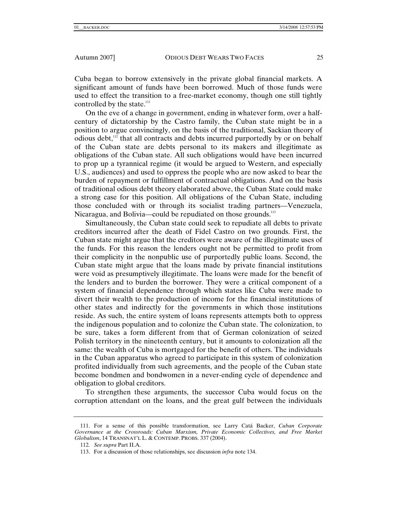Cuba began to borrow extensively in the private global financial markets. A significant amount of funds have been borrowed. Much of those funds were used to effect the transition to a free-market economy, though one still tightly controlled by the state.<sup>111</sup>

On the eve of a change in government, ending in whatever form, over a halfcentury of dictatorship by the Castro family, the Cuban state might be in a position to argue convincingly, on the basis of the traditional, Sackian theory of odious debt,<sup>112</sup> that all contracts and debts incurred purportedly by or on behalf of the Cuban state are debts personal to its makers and illegitimate as obligations of the Cuban state. All such obligations would have been incurred to prop up a tyrannical regime (it would be argued to Western, and especially U.S., audiences) and used to oppress the people who are now asked to bear the burden of repayment or fulfillment of contractual obligations. And on the basis of traditional odious debt theory elaborated above, the Cuban State could make a strong case for this position. All obligations of the Cuban State, including those concluded with or through its socialist trading partners—Venezuela, Nicaragua, and Bolivia—could be repudiated on those grounds.<sup>113</sup>

Simultaneously, the Cuban state could seek to repudiate all debts to private creditors incurred after the death of Fidel Castro on two grounds. First, the Cuban state might argue that the creditors were aware of the illegitimate uses of the funds. For this reason the lenders ought not be permitted to profit from their complicity in the nonpublic use of purportedly public loans. Second, the Cuban state might argue that the loans made by private financial institutions were void as presumptively illegitimate. The loans were made for the benefit of the lenders and to burden the borrower. They were a critical component of a system of financial dependence through which states like Cuba were made to divert their wealth to the production of income for the financial institutions of other states and indirectly for the governments in which those institutions reside. As such, the entire system of loans represents attempts both to oppress the indigenous population and to colonize the Cuban state. The colonization, to be sure, takes a form different from that of German colonization of seized Polish territory in the nineteenth century, but it amounts to colonization all the same: the wealth of Cuba is mortgaged for the benefit of others. The individuals in the Cuban apparatus who agreed to participate in this system of colonization profited individually from such agreements, and the people of the Cuban state become bondmen and bondwomen in a never-ending cycle of dependence and obligation to global creditors.

To strengthen these arguments, the successor Cuba would focus on the corruption attendant on the loans, and the great gulf between the individuals

 <sup>111.</sup> For a sense of this possible transformation, see Larry Catá Backer, *Cuban Corporate Governance at the Crossroads: Cuban Marxism, Private Economic Collectives, and Free Market Globalism*, 14 TRANSNAT'L L. & CONTEMP. PROBS. 337 (2004).

<sup>112</sup>*. See supra* Part II.A.

 <sup>113.</sup> For a discussion of those relationships, see discussion *infra* note 134.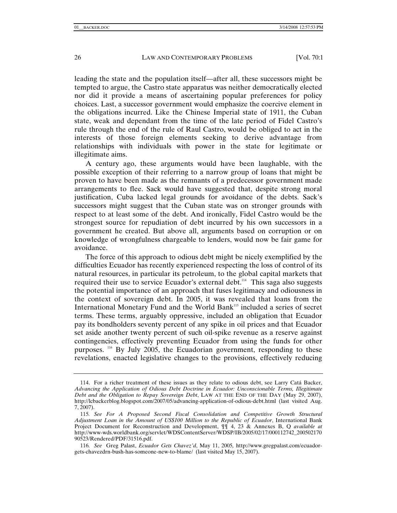leading the state and the population itself—after all, these successors might be tempted to argue, the Castro state apparatus was neither democratically elected nor did it provide a means of ascertaining popular preferences for policy choices. Last, a successor government would emphasize the coercive element in the obligations incurred. Like the Chinese Imperial state of 1911, the Cuban state, weak and dependant from the time of the late period of Fidel Castro's rule through the end of the rule of Raul Castro, would be obliged to act in the interests of those foreign elements seeking to derive advantage from relationships with individuals with power in the state for legitimate or illegitimate aims.

A century ago, these arguments would have been laughable, with the possible exception of their referring to a narrow group of loans that might be proven to have been made as the remnants of a predecessor government made arrangements to flee. Sack would have suggested that, despite strong moral justification, Cuba lacked legal grounds for avoidance of the debts. Sack's successors might suggest that the Cuban state was on stronger grounds with respect to at least some of the debt. And ironically, Fidel Castro would be the strongest source for repudiation of debt incurred by his own successors in a government he created. But above all, arguments based on corruption or on knowledge of wrongfulness chargeable to lenders, would now be fair game for avoidance.

The force of this approach to odious debt might be nicely exemplified by the difficulties Ecuador has recently experienced respecting the loss of control of its natural resources, in particular its petroleum, to the global capital markets that required their use to service Ecuador's external debt.<sup>114</sup> This saga also suggests the potential importance of an approach that fuses legitimacy and odiousness in the context of sovereign debt. In 2005, it was revealed that loans from the International Monetary Fund and the World Bank<sup>115</sup> included a series of secret terms. These terms, arguably oppressive, included an obligation that Ecuador pay its bondholders seventy percent of any spike in oil prices and that Ecuador set aside another twenty percent of such oil-spike revenue as a reserve against contingencies, effectively preventing Ecuador from using the funds for other purposes. <sup>116</sup> By July 2005, the Ecuadorian government, responding to these revelations, enacted legislative changes to the provisions, effectively reducing

 <sup>114.</sup> For a richer treatment of these issues as they relate to odious debt, see Larry Catá Backer, *Advancing the Application of Odious Debt Doctrine in Ecuador: Unconscionable Terms, Illegitimate Debt and the Obligation to Repay Sovereign Debt*, LAW AT THE END OF THE DAY (May 29, 2007), http://lcbackerblog.blogspot.com/2007/05/advancing-application-of-odious-debt.html (last visited Aug. 7, 2007).

<sup>115</sup>*. See For A Proposed Second Fiscal Consolidation and Competitive Growth Structural Adjustment Loan in the Amount of US\$100 Million to the Republic of Ecuador*, International Bank Project Document for Reconstruction and Development, ¶¶ 4, 23 & Annexes B, Q *available at* http://www-wds.worldbank.org/servlet/WDSContentServer/WDSP/IB/2005/02/17/000112742\_200502170 90523/Rendered/PDF/31516.pdf.

<sup>116</sup>*. See* Greg Palast, *Ecuador Gets Chavez'd*, May 11, 2005*,* http://www.gregpalast.com/ecuadorgets-chavezdrn-bush-has-someone-new-to-blame/ (last visited May 15, 2007).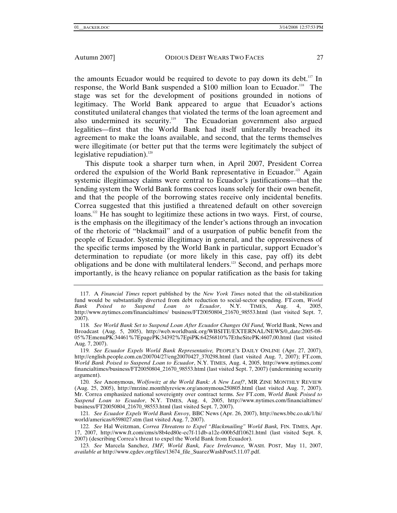the amounts Ecuador would be required to devote to pay down its debt.<sup>117</sup> In response, the World Bank suspended a \$100 million loan to Ecuador.<sup>118</sup> The stage was set for the development of positions grounded in notions of legitimacy. The World Bank appeared to argue that Ecuador's actions constituted unilateral changes that violated the terms of the loan agreement and also undermined its security.<sup>119</sup> The Ecuadorian government also argued legalities—first that the World Bank had itself unilaterally breached its agreement to make the loans available, and second, that the terms themselves were illegitimate (or better put that the terms were legitimately the subject of legislative repudiation). $120$ 

This dispute took a sharper turn when, in April 2007, President Correa ordered the expulsion of the World Bank representative in Ecuador.<sup>121</sup> Again systemic illegitimacy claims were central to Ecuador's justifications—that the lending system the World Bank forms coerces loans solely for their own benefit, and that the people of the borrowing states receive only incidental benefits. Correa suggested that this justified a threatened default on other sovereign loans.<sup>122</sup> He has sought to legitimize these actions in two ways. First, of course, is the emphasis on the illegitimacy of the lender's actions through an invocation of the rhetoric of "blackmail" and of a usurpation of public benefit from the people of Ecuador. Systemic illegitimacy in general, and the oppressiveness of the specific terms imposed by the World Bank in particular, support Ecuador's determination to repudiate (or more likely in this case, pay off) its debt obligations and be done with multilateral lenders.<sup>123</sup> Second, and perhaps more importantly, is the heavy reliance on popular ratification as the basis for taking

 <sup>117.</sup> A *Financial Times* report published by the *New York Times* noted that the oil-stabilization fund would be substantially diverted from debt reduction to social-sector spending. FT.com, *World Bank Poised to Suspend Loan to Ecuador*, N.Y. TIMES, Aug. 4, 2005, http://www.nytimes.com/financialtimes/ business/FT20050804\_21670\_98553.html (last visited Sept. 7, 2007).

<sup>118</sup>*. See World Bank Set to Suspend Loan After Ecuador Changes Oil Fund,* World Bank, News and Broadcast (Aug. 5, 2005), http://web.worldbank.org/WBSITE/EXTERNAL/NEWS/0,,date:2005-08- 05%7EmenuPK:34461%7EpagePK:34392%7EpiPK:64256810%7EtheSitePK:4607,00.html (last visited Aug. 7, 2007).

<sup>119</sup>*. See Ecuador Expels World Bank Representative,* PEOPLE'S DAILY ONLINE (Apr. 27, 2007), http://english.people.com.cn/200704/27/eng20070427\_370298.html (last visited Aug. 7, 2007); FT.com, *World Bank Poised to Suspend Loan to Ecuador*, N.Y. TIMES, Aug. 4, 2005, http://www.nytimes.com/ financialtimes/business/FT20050804\_21670\_98553.html (last visited Sept. 7, 2007) (undermining security argument).

<sup>120</sup>*. See* Anonymous, *Wolfowitz at the World Bank: A New Leaf?*, MR ZINE MONTHLY REVIEW (Aug. 25, 2005), http://mrzine.monthlyreview.org/anonymous250805.html (last visited Aug. 7, 2007). Mr. Correa emphasized national sovereignty over contract terms. *See* FT.com, *World Bank Poised to Suspend Loan to Ecuador*, N.Y. TIMES, Aug. 4, 2005, http://www.nytimes.com/financialtimes/ business/FT20050804\_21670\_98553.html (last visited Sept. 7, 2007).

<sup>121</sup>*. See Ecuador Expels World Bank Envoy,* BBC News (Apr. 26, 2007), http://news.bbc.co.uk/1/hi/ world/americas/6598027.stm (last visited Aug. 7, 2007).

<sup>122.</sup> See Hal Weitzman, *Correa Threatens to Expel "Blackmailing" World Bank*, FIN. TIMES, Apr. 17, 2007, http://www.ft.com/cms/s/8b4ed80e-ec7f-11db-a12e-000b5df10621.html (last visited Sept. 8, 2007) (describing Correa's threat to expel the World Bank from Ecuador).

<sup>123</sup>*. See* Marcela Sanchez, *IMF, World Bank, Face Irrelevance,* WASH. POST, May 11, 2007, *available at* http://www.cgdev.org/files/13674\_file\_SuarezWashPost5.11.07.pdf.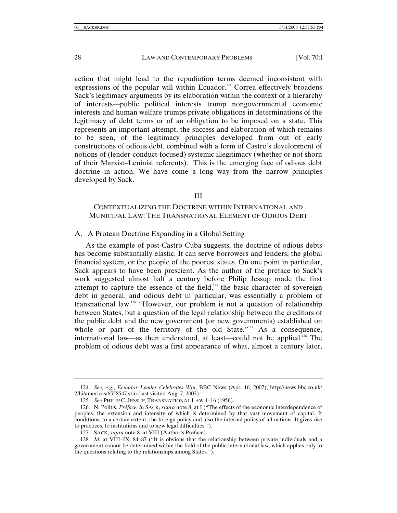action that might lead to the repudiation terms deemed inconsistent with expressions of the popular will within Ecuador.<sup>124</sup> Correa effectively broadens Sack's legitimacy arguments by its elaboration within the context of a hierarchy of interests—public political interests trump nongovernmental economic interests and human welfare trumps private obligations in determinations of the legitimacy of debt terms or of an obligation to be imposed on a state. This represents an important attempt, the success and elaboration of which remains to be seen, of the legitimacy principles developed from out of early constructions of odious debt, combined with a form of Castro's development of notions of (lender-conduct-focused) systemic illegitimacy (whether or not shorn of their Marxist–Leninist referents). This is the emerging face of odious debt doctrine in action. We have come a long way from the narrow principles developed by Sack.

# III

# CONTEXTUALIZING THE DOCTRINE WITHIN INTERNATIONAL AND MUNICIPAL LAW: THE TRANSNATIONAL ELEMENT OF ODIOUS DEBT

## A. A Protean Doctrine Expanding in a Global Setting

As the example of post-Castro Cuba suggests, the doctrine of odious debts has become substantially elastic. It can serve borrowers and lenders, the global financial system, or the people of the poorest states. On one point in particular, Sack appears to have been prescient. As the author of the preface to Sack's work suggested almost half a century before Philip Jessup made the first attempt to capture the essence of the field, $125$  the basic character of sovereign debt in general, and odious debt in particular, was essentially a problem of transnational law.126 "However, our problem is not a question of relationship between States, but a question of the legal relationship between the creditors of the public debt and the new government (or new governments) established on whole or part of the territory of the old State."<sup>127</sup> As a consequence, international law—as then understood, at least—could not be applied.<sup>128</sup> The problem of odious debt was a first appearance of what, almost a century later,

<sup>124</sup>*. See, e.g.*, *Ecuador Leader Celebrates Win*, BBC News (Apr. 16, 2007), http://news.bbc.co.uk/ 2/hi/americas/6558547.stm (last visited Aug. 7, 2007).

<sup>125</sup>*. See* PHILIP C. JESSUP, TRANSNATIONAL LAW 1–16 (1956).

 <sup>126.</sup> N. Politis, *Préface, in* SACK, *supra* note 8, at I ("The effects of the economic interdependence of peoples, the extension and intensity of which is determined by that vast movement of capital. It conditions, to a certain extent, the foreign policy and also the internal policy of all nations. It gives rise to practices, to institutions and to new legal difficulties.").

 <sup>127.</sup> SACK, *supra* note 8, at VIII (Author's Preface).

<sup>128</sup>*. Id.* at VIII–IX, 84–87 ("It is obvious that the relationship between private individuals and a government cannot be determined within the field of the public international law, which applies only to the questions relating to the relationships among States.").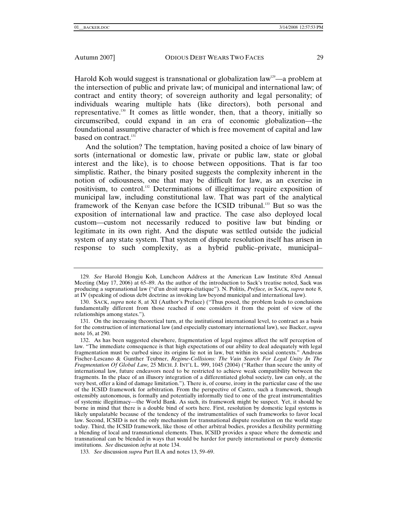Harold Koh would suggest is transnational or globalization law<sup>129</sup>—a problem at the intersection of public and private law; of municipal and international law; of contract and entity theory; of sovereign authority and legal personality; of individuals wearing multiple hats (like directors), both personal and representative.130 It comes as little wonder, then, that a theory, initially so circumscribed, could expand in an era of economic globalization—the foundational assumptive character of which is free movement of capital and law based on contract.<sup>131</sup>

And the solution? The temptation, having posited a choice of law binary of sorts (international or domestic law, private or public law, state or global interest and the like), is to choose between oppositions. That is far too simplistic. Rather, the binary posited suggests the complexity inherent in the notion of odiousness, one that may be difficult for law, as an exercise in positivism, to control.132 Determinations of illegitimacy require exposition of municipal law, including constitutional law. That was part of the analytical framework of the Kenyan case before the ICSID tribunal.133 But so was the exposition of international law and practice. The case also deployed local custom—custom not necessarily reduced to positive law but binding or legitimate in its own right. And the dispute was settled outside the judicial system of any state system. That system of dispute resolution itself has arisen in response to such complexity, as a hybrid public–private, municipal–

133*. See* discussion *supra* Part II.A and notes 13, 59–69.

<sup>129</sup>*. See* Harold Hongju Koh, Luncheon Address at the American Law Institute 83rd Annual Meeting (May 17, 2006) at 65–89. As the author of the introduction to Sack's treatise noted, Sack was producing a supranational law ("d'un droit supra-étatique"). N. Politis, *Préface, in* SACK*, supra* note 8, at IV (speaking of odious debt doctrine as invoking law beyond municipal and international law).

 <sup>130.</sup> SACK, *supra* note 8, at XI (Author's Preface) ("Thus posed, the problem leads to conclusions fundamentally different from those reached if one considers it from the point of view of the relationships among states.").

 <sup>131.</sup> On the increasing theoretical turn, at the institutional international level, to contract as a basis for the construction of international law (and especially customary international law), see Backer, *supra* note 16, at 290.

 <sup>132.</sup> As has been suggested elsewhere, fragmentation of legal regimes affect the self perception of law. "The immediate consequence is that high expectations of our ability to deal adequately with legal fragmentation must be curbed since its origins lie not in law, but within its social contexts." Andreas Fischer-Lescano & Gunther Teubner, *Regime-Collisions: The Vain Search For Legal Unity In The Fragmentation Of Global Law,* 25 MICH. J. INT'L L. 999, 1045 (2004) ("Rather than secure the unity of international law, future endeavors need to be restricted to achieve weak compatibility between the fragments. In the place of an illusory integration of a differentiated global society, law can only, at the very best, offer a kind of damage limitation."). There is, of course, irony in the particular case of the use of the ICSID framework for arbitration. From the perspective of Castro, such a framework, though ostensibly autonomous, is formally and potentially informally tied to one of the great instrumentalities of systemic illegitimacy—the World Bank. As such, its framework might be suspect. Yet, it should be borne in mind that there is a double bind of sorts here. First, resolution by domestic legal systems is likely unpalatable because of the tendency of the instrumentalities of such frameworks to favor local law. Second, ICSID is not the only mechanism for transnational dispute resolution on the world stage today. Third, the ICSID framework, like those of other arbitral bodies, provides a flexibility permitting a blending of local and transnational elements. Thus, ICSID provides a space where the domestic and transnational can be blended in ways that would be harder for purely international or purely domestic institutions. *See* discussion *infra* at note 134.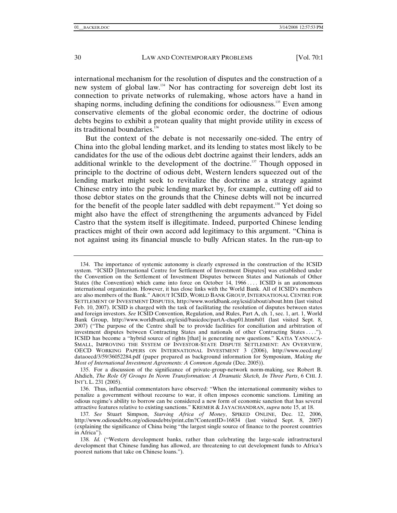international mechanism for the resolution of disputes and the construction of a new system of global law.134 Nor has contracting for sovereign debt lost its connection to private networks of rulemaking, whose actors have a hand in shaping norms, including defining the conditions for odiousness.<sup>135</sup> Even among conservative elements of the global economic order, the doctrine of odious debts begins to exhibit a protean quality that might provide utility in excess of its traditional boundaries. $136$ 

But the context of the debate is not necessarily one-sided. The entry of China into the global lending market, and its lending to states most likely to be candidates for the use of the odious debt doctrine against their lenders, adds an additional wrinkle to the development of the doctrine.<sup>137</sup> Though opposed in principle to the doctrine of odious debt, Western lenders squeezed out of the lending market might seek to revitalize the doctrine as a strategy against Chinese entry into the pubic lending market by, for example, cutting off aid to those debtor states on the grounds that the Chinese debts will not be incurred for the benefit of the people later saddled with debt repayment.<sup>138</sup> Yet doing so might also have the effect of strengthening the arguments advanced by Fidel Castro that the system itself is illegitimate. Indeed, purported Chinese lending practices might of their own accord add legitimacy to this argument. "China is not against using its financial muscle to bully African states. In the run-up to

 <sup>134.</sup> The importance of systemic autonomy is clearly expressed in the construction of the ICSID system. "ICSID [International Centre for Settlement of Investment Disputes] was established under the Convention on the Settlement of Investment Disputes between States and Nationals of Other States (the Convention) which came into force on October 14,  $1966 \ldots$  ICSID is an autonomous international organization. However, it has close links with the World Bank. All of ICSID's members are also members of the Bank." ABOUT ICSID, WORLD BANK GROUP, INTERNATIONAL CENTRE FOR SETTLEMENT OF INVESTMENT DISPUTES, http://www.worldbank.org/icsid/about/about.htm (last visited Feb. 10, 2007). ICSID is charged with the task of facilitating the resolution of disputes between states and foreign investors. *See* ICSID Convention, Regulation, and Rules, Part A, ch. 1, sec. 1, art. 1, World Bank Group, http://www.worldbank.org/icsid/basicdoc/partA-chap01.htm#s01 (last visited Sept. 8, 2007) ("The purpose of the Centre shall be to provide facilities for conciliation and arbitration of investment disputes between Contracting States and nationals of other Contracting States . . . ."). ICSID has become a "hybrid source of rights [that] is generating new questions." KATIA YANNACA-SMALL, IMPROVING THE SYSTEM OF INVESTOR-STATE DISPUTE SETTLEMENT: AN OVERVIEW, OECD WORKING PAPERS ON INTERNATIONAL INVESTMENT 3 (2006), http://www.oecd.org/ dataoecd/3/59/36052284.pdf (paper prepared as background information for Symposium, *Making the Most of International Investment Agreements: A Common Agenda* (Dec. 2005)).

 <sup>135.</sup> For a discussion of the significance of private-group-network norm-making, see Robert B. Ahdieh, *The Role Of Groups In Norm Transformation: A Dramatic Sketch, In Three Parts*, 6 CHI. J. INT'L L. 231 (2005).

 <sup>136.</sup> Thus, influential commentators have observed: "When the international community wishes to penalize a government without recourse to war, it often imposes economic sanctions. Limiting an odious regime's ability to borrow can be considered a new form of economic sanction that has several attractive features relative to existing sanctions." KREMER & JAYACHANDRAN, *supra* note 15, at 18.

<sup>137</sup>*. See* Stuart Simpson, *Starving Africa of Money*, SPIKED ONLINE, Dec. 12, 2006, http://www.odiousdebts.org/odiousdebts/print.cfm?ContentID=16834 (last visited Sept. 8, 2007) (explaining the significance of China being "the largest single source of finance to the poorest countries in Africa").

<sup>138</sup>*. Id.* ("Western development banks, rather than celebrating the large-scale infrastructural development that Chinese funding has allowed, are threatening to cut development funds to Africa's poorest nations that take on Chinese loans.").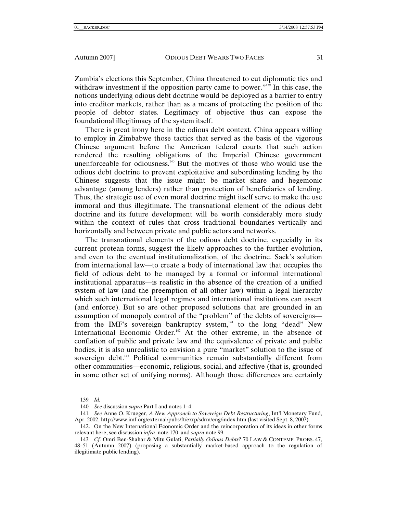Zambia's elections this September, China threatened to cut diplomatic ties and withdraw investment if the opposition party came to power."<sup>139</sup> In this case, the notions underlying odious debt doctrine would be deployed as a barrier to entry into creditor markets, rather than as a means of protecting the position of the people of debtor states. Legitimacy of objective thus can expose the foundational illegitimacy of the system itself.

There is great irony here in the odious debt context. China appears willing to employ in Zimbabwe those tactics that served as the basis of the vigorous Chinese argument before the American federal courts that such action rendered the resulting obligations of the Imperial Chinese government unenforceable for odiousness. $140$  But the motives of those who would use the odious debt doctrine to prevent exploitative and subordinating lending by the Chinese suggests that the issue might be market share and hegemonic advantage (among lenders) rather than protection of beneficiaries of lending. Thus, the strategic use of even moral doctrine might itself serve to make the use immoral and thus illegitimate. The transnational element of the odious debt doctrine and its future development will be worth considerably more study within the context of rules that cross traditional boundaries vertically and horizontally and between private and public actors and networks.

The transnational elements of the odious debt doctrine, especially in its current protean forms, suggest the likely approaches to the further evolution, and even to the eventual institutionalization, of the doctrine. Sack's solution from international law—to create a body of international law that occupies the field of odious debt to be managed by a formal or informal international institutional apparatus—is realistic in the absence of the creation of a unified system of law (and the preemption of all other law) within a legal hierarchy which such international legal regimes and international institutions can assert (and enforce). But so are other proposed solutions that are grounded in an assumption of monopoly control of the "problem" of the debts of sovereigns from the IMF's sovereign bankruptcy system,<sup>141</sup> to the long "dead" New International Economic Order.<sup>142</sup> At the other extreme, in the absence of conflation of public and private law and the equivalence of private and public bodies, it is also unrealistic to envision a pure "market" solution to the issue of sovereign debt.<sup>143</sup> Political communities remain substantially different from other communities—economic, religious, social, and affective (that is, grounded in some other set of unifying norms). Although those differences are certainly

<sup>139</sup>*. Id.*

<sup>140</sup>*. See* discussion *supra* Part I and notes 1–4.

<sup>141</sup>*. See* Anne O. Krueger, *A New Approach to Sovereign Debt Restructuring*, Int'l Monetary Fund, Apr. 2002, http://www.imf.org/external/pubs/ft/exrp/sdrm/eng/index.htm (last visited Sept. 8, 2007).

 <sup>142.</sup> On the New International Economic Order and the reincorporation of its ideas in other forms relevant here, see discussion *infra* note 170 and *supra* note 99.

<sup>143</sup>*. Cf.* Omri Ben-Shahar & Mitu Gulati, *Partially Odious Debts?* 70 LAW & CONTEMP. PROBS. 47, 48–51 (Autumn 2007) (proposing a substantially market-based approach to the regulation of illegitimate public lending).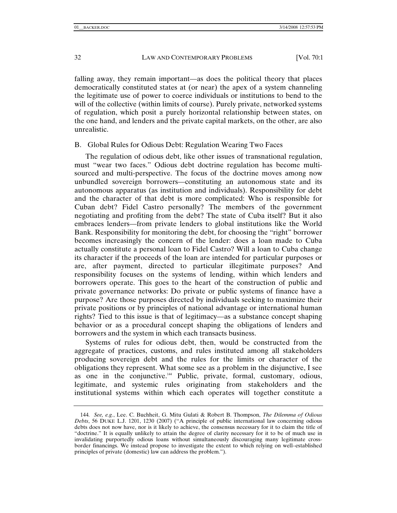falling away, they remain important—as does the political theory that places democratically constituted states at (or near) the apex of a system channeling the legitimate use of power to coerce individuals or institutions to bend to the will of the collective (within limits of course). Purely private, networked systems of regulation, which posit a purely horizontal relationship between states, on the one hand, and lenders and the private capital markets, on the other, are also unrealistic.

## B. Global Rules for Odious Debt: Regulation Wearing Two Faces

The regulation of odious debt, like other issues of transnational regulation, must "wear two faces." Odious debt doctrine regulation has become multisourced and multi-perspective. The focus of the doctrine moves among now unbundled sovereign borrowers—constituting an autonomous state and its autonomous apparatus (as institution and individuals). Responsibility for debt and the character of that debt is more complicated: Who is responsible for Cuban debt? Fidel Castro personally? The members of the government negotiating and profiting from the debt? The state of Cuba itself? But it also embraces lenders—from private lenders to global institutions like the World Bank. Responsibility for monitoring the debt, for choosing the "right" borrower becomes increasingly the concern of the lender: does a loan made to Cuba actually constitute a personal loan to Fidel Castro? Will a loan to Cuba change its character if the proceeds of the loan are intended for particular purposes or are, after payment, directed to particular illegitimate purposes? And responsibility focuses on the systems of lending, within which lenders and borrowers operate. This goes to the heart of the construction of public and private governance networks: Do private or public systems of finance have a purpose? Are those purposes directed by individuals seeking to maximize their private positions or by principles of national advantage or international human rights? Tied to this issue is that of legitimacy—as a substance concept shaping behavior or as a procedural concept shaping the obligations of lenders and borrowers and the system in which each transacts business.

Systems of rules for odious debt, then, would be constructed from the aggregate of practices, customs, and rules instituted among all stakeholders producing sovereign debt and the rules for the limits or character of the obligations they represent. What some see as a problem in the disjunctive, I see as one in the conjunctive.<sup>144</sup> Public, private, formal, customary, odious, legitimate, and systemic rules originating from stakeholders and the institutional systems within which each operates will together constitute a

<sup>144</sup>*. See, e.g.*, Lee. C. Buchheit, G. Mitu Gulati & Robert B. Thompson, *The Dilemma of Odious Debts*, 56 DUKE L.J. 1201, 1230 (2007) ("A principle of public international law concerning odious debts does not now have, nor is it likely to achieve, the consensus necessary for it to claim the title of "doctrine." It is equally unlikely to attain the degree of clarity necessary for it to be of much use in invalidating purportedly odious loans without simultaneously discouraging many legitimate crossborder financings. We instead propose to investigate the extent to which relying on well–established principles of private (domestic) law can address the problem.").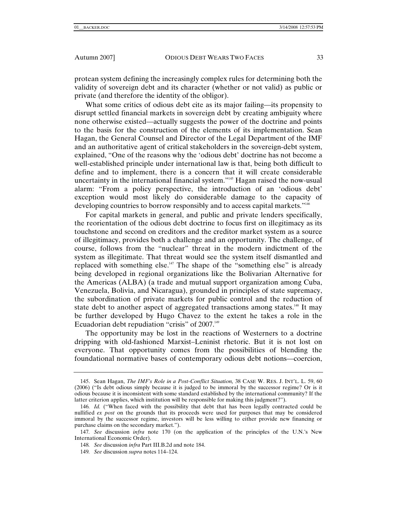protean system defining the increasingly complex rules for determining both the validity of sovereign debt and its character (whether or not valid) as public or private (and therefore the identity of the obligor).

What some critics of odious debt cite as its major failing—its propensity to disrupt settled financial markets in sovereign debt by creating ambiguity where none otherwise existed—actually suggests the power of the doctrine and points to the basis for the construction of the elements of its implementation. Sean Hagan, the General Counsel and Director of the Legal Department of the IMF and an authoritative agent of critical stakeholders in the sovereign-debt system, explained, "One of the reasons why the 'odious debt' doctrine has not become a well-established principle under international law is that, being both difficult to define and to implement, there is a concern that it will create considerable uncertainty in the international financial system."<sup>145</sup> Hagan raised the now-usual alarm: "From a policy perspective, the introduction of an 'odious debt' exception would most likely do considerable damage to the capacity of developing countries to borrow responsibly and to access capital markets."<sup>146</sup>

For capital markets in general, and public and private lenders specifically, the reorientation of the odious debt doctrine to focus first on illegitimacy as its touchstone and second on creditors and the creditor market system as a source of illegitimacy, provides both a challenge and an opportunity. The challenge, of course, follows from the "nuclear" threat in the modern indictment of the system as illegitimate. That threat would see the system itself dismantled and replaced with something else.<sup>147</sup> The shape of the "something else" is already being developed in regional organizations like the Bolivarian Alternative for the Americas (ALBA) (a trade and mutual support organization among Cuba, Venezuela, Bolivia, and Nicaragua), grounded in principles of state supremacy, the subordination of private markets for public control and the reduction of state debt to another aspect of aggregated transactions among states.<sup>148</sup> It may be further developed by Hugo Chavez to the extent he takes a role in the Ecuadorian debt repudiation "crisis" of 2007.<sup>149</sup>

The opportunity may be lost in the reactions of Westerners to a doctrine dripping with old-fashioned Marxist–Leninist rhetoric. But it is not lost on everyone. That opportunity comes from the possibilities of blending the foundational normative bases of contemporary odious debt notions—coercion,

 <sup>145.</sup> Sean Hagan, *The IMF's Role in a Post-Conflict Situation,* 38 CASE W. RES. J. INT'L. L. 59, 60 (2006) ("Is debt odious simply because it is judged to be immoral by the successor regime? Or is it odious because it is inconsistent with some standard established by the international community? If the latter criterion applies, which institution will be responsible for making this judgment?").

<sup>146</sup>*. Id.* ("When faced with the possibility that debt that has been legally contracted could be nullified *ex post* on the grounds that its proceeds were used for purposes that may be considered immoral by the successor regime, investors will be less willing to either provide new financing or purchase claims on the secondary market.").

<sup>147</sup>*. See* discussion *infra* note 170 (on the application of the principles of the U.N.'s New International Economic Order).

<sup>148</sup>*. See* discussion *infra* Part III.B.2d and note 184.

<sup>149</sup>*. See* discussion *supra* notes 114–124.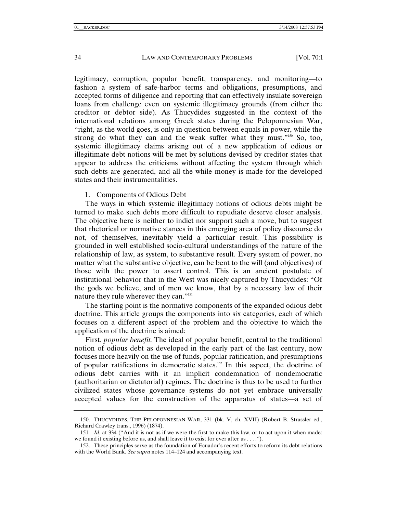legitimacy, corruption, popular benefit, transparency, and monitoring—to fashion a system of safe-harbor terms and obligations, presumptions, and accepted forms of diligence and reporting that can effectively insulate sovereign loans from challenge even on systemic illegitimacy grounds (from either the creditor or debtor side). As Thucydides suggested in the context of the international relations among Greek states during the Peloponnesian War, "right, as the world goes, is only in question between equals in power, while the strong do what they can and the weak suffer what they must." $150$  So, too, systemic illegitimacy claims arising out of a new application of odious or illegitimate debt notions will be met by solutions devised by creditor states that appear to address the criticisms without affecting the system through which such debts are generated, and all the while money is made for the developed states and their instrumentalities.

## 1. Components of Odious Debt

The ways in which systemic illegitimacy notions of odious debts might be turned to make such debts more difficult to repudiate deserve closer analysis. The objective here is neither to indict nor support such a move, but to suggest that rhetorical or normative stances in this emerging area of policy discourse do not, of themselves, inevitably yield a particular result. This possibility is grounded in well established socio-cultural understandings of the nature of the relationship of law, as system, to substantive result. Every system of power, no matter what the substantive objective, can be bent to the will (and objectives) of those with the power to assert control. This is an ancient postulate of institutional behavior that in the West was nicely captured by Thucydides: "Of the gods we believe, and of men we know, that by a necessary law of their nature they rule wherever they can."151

The starting point is the normative components of the expanded odious debt doctrine. This article groups the components into six categories, each of which focuses on a different aspect of the problem and the objective to which the application of the doctrine is aimed:

First, *popular benefit.* The ideal of popular benefit, central to the traditional notion of odious debt as developed in the early part of the last century, now focuses more heavily on the use of funds, popular ratification, and presumptions of popular ratifications in democratic states.152 In this aspect, the doctrine of odious debt carries with it an implicit condemnation of nondemocratic (authoritarian or dictatorial) regimes. The doctrine is thus to be used to further civilized states whose governance systems do not yet embrace universally accepted values for the construction of the apparatus of states—a set of

 <sup>150.</sup> THUCYDIDES, THE PELOPONNESIAN WAR, 331 (bk. V, ch. XVII) (Robert B. Strassler ed., Richard Crawley trans., 1996) (1874).

<sup>151</sup>*. Id.* at 334 ("And it is not as if we were the first to make this law, or to act upon it when made: we found it existing before us, and shall leave it to exist for ever after us . . . .").

 <sup>152.</sup> These principles serve as the foundation of Ecuador's recent efforts to reform its debt relations with the World Bank. *See supra* notes 114–124 and accompanying text.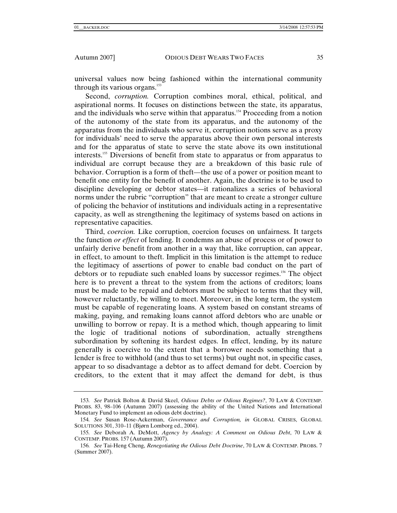universal values now being fashioned within the international community through its various organs. $153$ 

Second, *corruption.* Corruption combines moral, ethical, political, and aspirational norms. It focuses on distinctions between the state, its apparatus, and the individuals who serve within that apparatus.<sup>154</sup> Proceeding from a notion of the autonomy of the state from its apparatus, and the autonomy of the apparatus from the individuals who serve it, corruption notions serve as a proxy for individuals' need to serve the apparatus above their own personal interests and for the apparatus of state to serve the state above its own institutional interests.155 Diversions of benefit from state to apparatus or from apparatus to individual are corrupt because they are a breakdown of this basic rule of behavior. Corruption is a form of theft—the use of a power or position meant to benefit one entity for the benefit of another. Again, the doctrine is to be used to discipline developing or debtor states—it rationalizes a series of behavioral norms under the rubric "corruption" that are meant to create a stronger culture of policing the behavior of institutions and individuals acting in a representative capacity, as well as strengthening the legitimacy of systems based on actions in representative capacities.

Third, *coercion.* Like corruption, coercion focuses on unfairness. It targets the function *or effect* of lending. It condemns an abuse of process or of power to unfairly derive benefit from another in a way that, like corruption, can appear, in effect, to amount to theft. Implicit in this limitation is the attempt to reduce the legitimacy of assertions of power to enable bad conduct on the part of debtors or to repudiate such enabled loans by successor regimes.156 The object here is to prevent a threat to the system from the actions of creditors; loans must be made to be repaid and debtors must be subject to terms that they will, however reluctantly, be willing to meet. Moreover, in the long term, the system must be capable of regenerating loans. A system based on constant streams of making, paying, and remaking loans cannot afford debtors who are unable or unwilling to borrow or repay. It is a method which, though appearing to limit the logic of traditional notions of subordination, actually strengthens subordination by softening its hardest edges. In effect, lending, by its nature generally is coercive to the extent that a borrower needs something that a lender is free to withhold (and thus to set terms) but ought not, in specific cases, appear to so disadvantage a debtor as to affect demand for debt. Coercion by creditors, to the extent that it may affect the demand for debt, is thus

<sup>153</sup>*. See* Patrick Bolton & David Skeel, *Odious Debts or Odious Regimes?*, 70 LAW & CONTEMP. PROBS. 83, 98–106 (Autumn 2007) (assessing the ability of the United Nations and International Monetary Fund to implement an odious debt doctrine).

<sup>154</sup>*. See* Susan Rose-Ackerman, *Governance and Corruption, in* GLOBAL CRISES, GLOBAL SOLUTIONS 301, 310–11 (Bjørn Lomborg ed., 2004).

<sup>155</sup>*. See* Deborah A. DeMott, *Agency by Analogy: A Comment on Odious Debt*, 70 LAW & CONTEMP. PROBS. 157 (Autumn 2007).

<sup>156</sup>*. See* Tai-Heng Cheng, *Renegotiating the Odious Debt Doctrine*, 70 LAW & CONTEMP. PROBS. 7 (Summer 2007).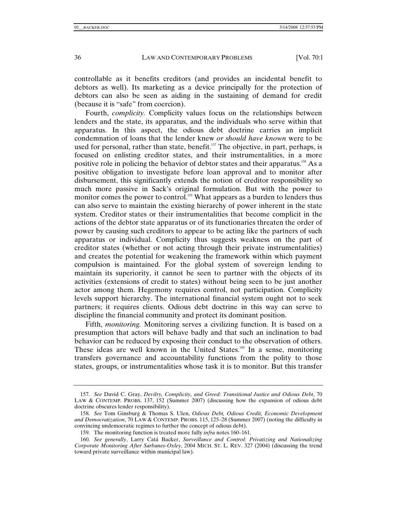controllable as it benefits creditors (and provides an incidental benefit to debtors as well). Its marketing as a device principally for the protection of debtors can also be seen as aiding in the sustaining of demand for credit (because it is "safe" from coercion).

Fourth, *complicity.* Complicity values focus on the relationships between lenders and the state, its apparatus, and the individuals who serve within that apparatus. In this aspect, the odious debt doctrine carries an implicit condemnation of loans that the lender knew *or should have known* were to be used for personal, rather than state, benefit.<sup>157</sup> The objective, in part, perhaps, is focused on enlisting creditor states, and their instrumentalities, in a more positive role in policing the behavior of debtor states and their apparatus.<sup>158</sup> As a positive obligation to investigate before loan approval and to monitor after disbursement, this significantly extends the notion of creditor responsibility so much more passive in Sack's original formulation. But with the power to monitor comes the power to control.<sup>159</sup> What appears as a burden to lenders thus can also serve to maintain the existing hierarchy of power inherent in the state system. Creditor states or their instrumentalities that become complicit in the actions of the debtor state apparatus or of its functionaries threaten the order of power by causing such creditors to appear to be acting like the partners of such apparatus or individual. Complicity thus suggests weakness on the part of creditor states (whether or not acting through their private instrumentalities) and creates the potential for weakening the framework within which payment compulsion is maintained. For the global system of sovereign lending to maintain its superiority, it cannot be seen to partner with the objects of its activities (extensions of credit to states) without being seen to be just another actor among them. Hegemony requires control, not participation. Complicity levels support hierarchy. The international financial system ought not to seek partners; it requires clients. Odious debt doctrine in this way can serve to discipline the financial community and protect its dominant position.

Fifth, *monitoring.* Monitoring serves a civilizing function. It is based on a presumption that actors will behave badly and that such an inclination to bad behavior can be reduced by exposing their conduct to the observation of others. These ideas are well known in the United States.<sup>160</sup> In a sense, monitoring transfers governance and accountability functions from the polity to those states, groups, or instrumentalities whose task it is to monitor. But this transfer

<sup>157</sup>*. See* David C. Gray, *Devilry, Complicity, and Greed: Transitional Justice and Odious Debt*, 70 LAW & CONTEMP. PROBS. 137, 152 (Summer 2007) (discussing how the expansion of odious debt doctrine obscures lender responsibility).

<sup>158</sup>*. See* Tom Ginsburg & Thomas S. Ulen, *Odious Debt, Odious Credit, Economic Development and Democratization*, 70 LAW & CONTEMP. PROBS. 115, 125–28 (Summer 2007) (noting the difficulty in convincing undemocratic regimes to further the concept of odious debt).

 <sup>159.</sup> The monitoring function is treated more fully *infra* notes 160–161.

<sup>160</sup>*. See generally*, Larry Catá Backer, *Surveillance and Control: Privatizing and Nationalizing Corporate Monitoring After Sarbanes-Oxley*, 2004 MICH. ST. L. REV. 327 (2004) (discussing the trend toward private surveillance within municipal law).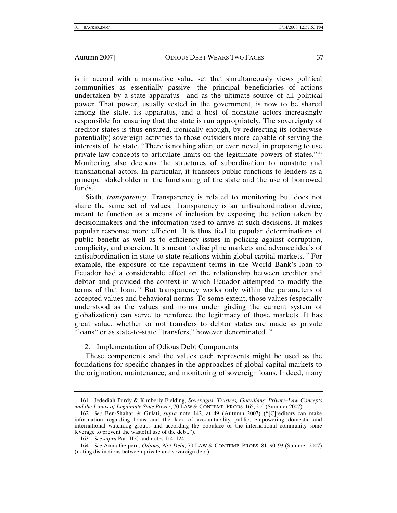is in accord with a normative value set that simultaneously views political communities as essentially passive—the principal beneficiaries of actions undertaken by a state apparatus—and as the ultimate source of all political power. That power, usually vested in the government, is now to be shared among the state, its apparatus, and a host of nonstate actors increasingly responsible for ensuring that the state is run appropriately. The sovereignty of creditor states is thus ensured, ironically enough, by redirecting its (otherwise potentially) sovereign activities to those outsiders more capable of serving the interests of the state. "There is nothing alien, or even novel, in proposing to use private-law concepts to articulate limits on the legitimate powers of states."<sup>161</sup> Monitoring also deepens the structures of subordination to nonstate and transnational actors. In particular, it transfers public functions to lenders as a principal stakeholder in the functioning of the state and the use of borrowed funds.

Sixth, *transparency*. Transparency is related to monitoring but does not share the same set of values. Transparency is an antisubordination device, meant to function as a means of inclusion by exposing the action taken by decisionmakers and the information used to arrive at such decisions. It makes popular response more efficient. It is thus tied to popular determinations of public benefit as well as to efficiency issues in policing against corruption, complicity, and coercion. It is meant to discipline markets and advance ideals of antisubordination in state-to-state relations within global capital markets.<sup>162</sup> For example, the exposure of the repayment terms in the World Bank's loan to Ecuador had a considerable effect on the relationship between creditor and debtor and provided the context in which Ecuador attempted to modify the terms of that loan.163 But transparency works only within the parameters of accepted values and behavioral norms. To some extent, those values (especially understood as the values and norms under girding the current system of globalization) can serve to reinforce the legitimacy of those markets. It has great value, whether or not transfers to debtor states are made as private "loans" or as state-to-state "transfers," however denominated.<sup>164</sup>

# 2. Implementation of Odious Debt Components

These components and the values each represents might be used as the foundations for specific changes in the approaches of global capital markets to the origination, maintenance, and monitoring of sovereign loans. Indeed, many

 <sup>161.</sup> Jedediah Purdy & Kimberly Fielding, *Sovereigns, Trustees, Guardians: Private–Law Concepts and the Limits of Legitimate State Power*, 70 LAW & CONTEMP. PROBS. 165, 210 (Summer 2007).

<sup>162</sup>*. See* Ben-Shahar & Gulati, *supra* note 142, at 49 (Autumn 2007) ("[C]reditors can make information regarding loans and the lack of accountability public, empowering domestic and international watchdog groups and according the populace or the international community some leverage to prevent the wasteful use of the debt.").

<sup>163</sup>*. See supra* Part II.C and notes 114–124.

<sup>164</sup>*. See* Anna Gelpern, *Odious, Not Debt*, 70 LAW & CONTEMP. PROBS. 81, 90–93 (Summer 2007) (noting distinctions between private and sovereign debt).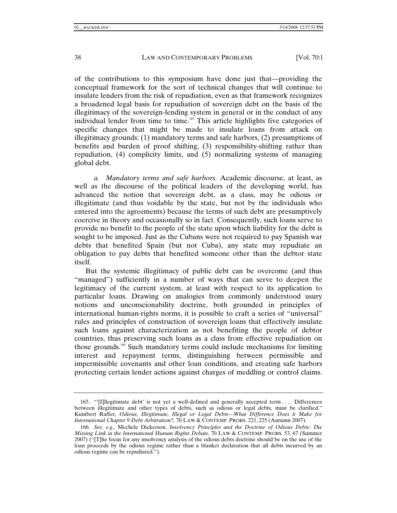of the contributions to this symposium have done just that—providing the conceptual framework for the sort of technical changes that will continue to insulate lenders from the risk of repudiation, even as that framework recognizes a broadened legal basis for repudiation of sovereign debt on the basis of the illegitimacy of the sovereign-lending system in general or in the conduct of any individual lender from time to time.165 This article highlights five categories of specific changes that might be made to insulate loans from attack on illegitimacy grounds: (1) mandatory terms and safe harbors, (2) presumptions of benefits and burden of proof shifting, (3) responsibility-shifting rather than repudiation, (4) complicity limits, and (5) normalizing systems of managing global debt.

*a. Mandatory terms and safe harbors.* Academic discourse, at least, as well as the discourse of the political leaders of the developing world, has advanced the notion that sovereign debt, as a class, may be odious or illegitimate (and thus voidable by the state, but not by the individuals who entered into the agreements) because the terms of such debt are presumptively coercive in theory and occasionally so in fact. Consequently, such loans serve to provide no benefit to the people of the state upon which liability for the debt is sought to be imposed. Just as the Cubans were not required to pay Spanish war debts that benefited Spain (but not Cuba), any state may repudiate an obligation to pay debts that benefited someone other than the debtor state itself.

But the systemic illegitimacy of public debt can be overcome (and thus "managed") sufficiently in a number of ways that can serve to deepen the legitimacy of the current system, at least with respect to its application to particular loans. Drawing on analogies from commonly understood usury notions and unconscionability doctrine, both grounded in principles of international human-rights norms, it is possible to craft a series of "universal" rules and principles of construction of sovereign loans that effectively insulate such loans against characterization as not benefiting the people of debtor countries, thus preserving such loans as a class from effective repudiation on those grounds.<sup>166</sup> Such mandatory terms could include mechanisms for limiting interest and repayment terms, distinguishing between permissible and impermissible covenants and other loan conditions, and creating safe harbors protecting certain lender actions against charges of meddling or control claims.

 <sup>165. &</sup>quot;'[I]llegitimate debt' is not yet a well-defined and generally accepted term . . . . Differences between illegitimate and other types of debts, such as odious or legal debts, must be clarified." Kunibert Raffer, *Odious, Illegitimate, Illegal or Legal Debts—What Difference Does it Make for International Chapter 9 Debt Arbitration?,* 70 LAW & CONTEMP. PROBS. 221, 225 (Autumn 2007).

<sup>166</sup>*. See, e.g.,* Mechele Dickerson, *Insolvency Principles and the Doctrine of Odious Debts: The Missing Link in the International Human Rights Debate*, 70 LAW & CONTEMP. PROBS. 53, 67 (Summer 2007) ("[T]he focus for any insolvency analysis of the odious debts doctrine should be on the use of the loan proceeds by the odious regime rather than a blanket declaration that all debts incurred by an odious regime can be repudiated.").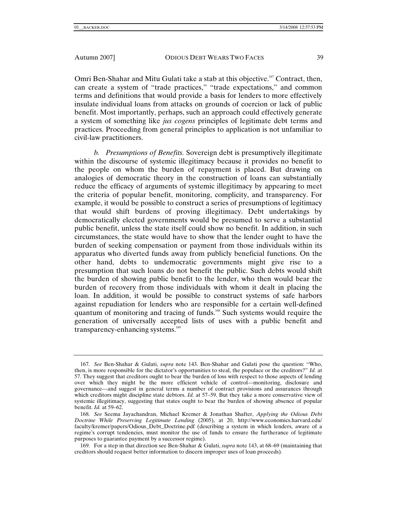Omri Ben-Shahar and Mitu Gulati take a stab at this objective.<sup>167</sup> Contract, then, can create a system of "trade practices," "trade expectations," and common terms and definitions that would provide a basis for lenders to more effectively insulate individual loans from attacks on grounds of coercion or lack of public benefit. Most importantly, perhaps, such an approach could effectively generate a system of something like *jus cogens* principles of legitimate debt terms and practices. Proceeding from general principles to application is not unfamiliar to civil-law practitioners.

*b. Presumptions of Benefits.* Sovereign debt is presumptively illegitimate within the discourse of systemic illegitimacy because it provides no benefit to the people on whom the burden of repayment is placed. But drawing on analogies of democratic theory in the construction of loans can substantially reduce the efficacy of arguments of systemic illegitimacy by appearing to meet the criteria of popular benefit, monitoring, complicity, and transparency. For example, it would be possible to construct a series of presumptions of legitimacy that would shift burdens of proving illegitimacy. Debt undertakings by democratically elected governments would be presumed to serve a substantial public benefit, unless the state itself could show no benefit. In addition, in such circumstances, the state would have to show that the lender ought to have the burden of seeking compensation or payment from those individuals within its apparatus who diverted funds away from publicly beneficial functions. On the other hand, debts to undemocratic governments might give rise to a presumption that such loans do not benefit the public. Such debts would shift the burden of showing public benefit to the lender, who then would bear the burden of recovery from those individuals with whom it dealt in placing the loan. In addition, it would be possible to construct systems of safe harbors against repudiation for lenders who are responsible for a certain well-defined quantum of monitoring and tracing of funds.168 Such systems would require the generation of universally accepted lists of uses with a public benefit and transparency-enhancing systems.<sup>169</sup>

<sup>167</sup>*. See* Ben-Shahar & Gulati, *supra* note 143. Ben-Shahar and Gulati pose the question: "Who, then, is more responsible for the dictator's opportunities to steal, the populace or the creditors?" *Id.* at 57. They suggest that creditors ought to bear the burden of loss with respect to those aspects of lending over which they might be the more efficient vehicle of control—monitoring, disclosure and governance—and suggest in general terms a number of contract provisions and assurances through which creditors might discipline state debtors. *Id.* at 57–59. But they take a more conservative view of systemic illegitimacy, suggesting that states ought to bear the burden of showing absence of popular benefit. *Id.* at 59–62.

<sup>168</sup>*. See* Seema Jayachandran, Michael Kremer & Jonathan Shafter, *Applying the Odious Debt Doctrine While Preserving Legitimate Lending* (2005), at 20, http://www.economics.harvard.edu/ faculty/kremer/papers/Odious\_Debt\_Doctrine.pdf (describing a system in which lenders, aware of a regime's corrupt tendencies, must monitor the use of funds to ensure the furtherance of legitimate purposes to guarantee payment by a successor regime).

 <sup>169.</sup> For a step in that direction see Ben-Shahar & Gulati, *supra* note 143, at 68–69 (maintaining that creditors should request better information to discern improper uses of loan proceeds)*.*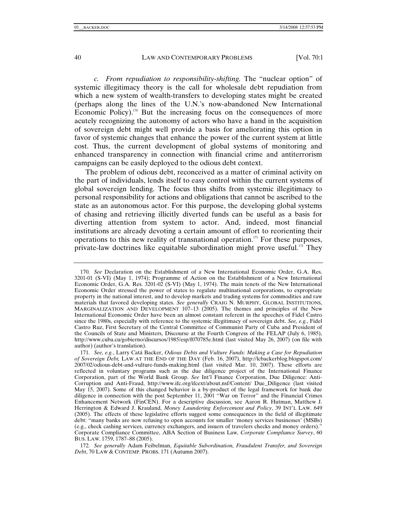*c. From repudiation to responsibility-shifting.* The "nuclear option" of systemic illegitimacy theory is the call for wholesale debt repudiation from which a new system of wealth-transfers to developing states might be created (perhaps along the lines of the U.N.'s now-abandoned New International Economic Policy). $170$  But the increasing focus on the consequences of more acutely recognizing the autonomy of actors who have a hand in the acquisition of sovereign debt might well provide a basis for ameliorating this option in favor of systemic changes that enhance the power of the current system at little cost. Thus, the current development of global systems of monitoring and enhanced transparency in connection with financial crime and antiterrorism campaigns can be easily deployed to the odious debt context.

The problem of odious debt, reconceived as a matter of criminal activity on the part of individuals, lends itself to easy control within the current systems of global sovereign lending. The focus thus shifts from systemic illegitimacy to personal responsibility for actions and obligations that cannot be ascribed to the state as an autonomous actor. For this purpose, the developing global systems of chasing and retrieving illicitly diverted funds can be useful as a basis for diverting attention from system to actor. And, indeed, most financial institutions are already devoting a certain amount of effort to reorienting their operations to this new reality of transnational operation.<sup>171</sup> For these purposes, private-law doctrines like equitable subordination might prove useful.<sup>172</sup> They

<sup>170</sup>*. See* Declaration on the Establishment of a New International Economic Order, G.A. Res. 3201-01 (S-VI) (May 1, 1974); Programme of Action on the Establishment of a New International Economic Order, G.A. Res. 3201-02 (S-VI) (May 1, 1974). The main tenets of the New International Economic Order stressed the power of states to regulate multinational corporations, to expropriate property in the national interest, and to develop markets and trading systems for commodities and raw materials that favored developing states. *See generally* CRAIG N. MURPHY, GLOBAL INSTITUTIONS, MARGINALIZATION AND DEVELOPMENT 107–13 (2005). The themes and principles of the New International Economic Order have been an almost constant referent in the speeches of Fidel Castro since the 1980s, especially with reference to the systemic illegitimacy of sovereign debt. *See, e.g.*, Fidel Castro Ruz, First Secretary of the Central Committee of Communist Party of Cuba and President of the Councils of State and Ministers, Discourse at the Fourth Congress of the FELAP (July 6, 1985), http://www.cuba.cu/gobierno/discursos/1985/esp/f070785e.html (last visited May 26, 2007) (on file with author) (author's translation).

<sup>171</sup>*. See, e.g.*, Larry Catá Backer, *Odious Debts and Vulture Funds: Making a Case for Repudiation of Sovereign Debt,* LAW AT THE END OF THE DAY (Feb. 16, 2007), http://lcbackerblog.blogspot.com/ 2007/02/odious-debt-and-vulture-funds-making.html (last visited Mar. 10, 2007). These efforts are reflected in voluntary programs such as the due diligence project of the International Finance Corporation, part of the World Bank Group. *See* Int'l Finance Corporation, Due Diligence: Anti-Corruption and Anti-Fraud, http://www.ifc.org/ifcext/about.nsf/Content/ Due\_Diligence (last visited May 15, 2007). Some of this changed behavior is a by-product of the legal framework for bank due diligence in connection with the post September 11, 2001 "War on Terror" and the Financial Crimes Enhancement Network (FinCEN). For a descriptive discussion, see Aaron R. Hutman, Matthew J. Herrington & Edward J. Krauland, *Money Laundering Enforcement and Policy*, 39 INT'L LAW. 649 (2005). The effects of these legislative efforts suggest some consequences in the field of illegitimate debt: "many banks are now refusing to open accounts for smaller 'money services businesses' (MSBs) (e.g., check cashing services, currency exchangers, and issuers of travelers checks and money orders)." Corporate Compliance Committee, ABA Section of Business Law, *Corporate Compliance Survey*, 60 BUS. LAW. 1759, 1787–88 (2005).

<sup>172</sup>*. See generally* Adam Feibelman, *Equitable Subordination, Fraudulent Transfer, and Sovereign Debt*, 70 LAW & CONTEMP. PROBS. 171 (Autumn 2007).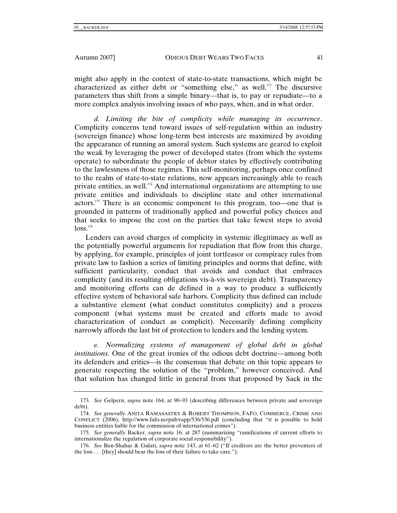might also apply in the context of state-to-state transactions, which might be characterized as either debt or "something else," as well.<sup>173</sup> The discursive parameters thus shift from a simple binary—that is, to pay or repudiate—to a more complex analysis involving issues of who pays, when, and in what order.

*d. Limiting the bite of complicity while managing its occurrence*. Complicity concerns tend toward issues of self-regulation within an industry (sovereign finance) whose long-term best interests are maximized by avoiding the appearance of running an amoral system. Such systems are geared to exploit the weak by leveraging the power of developed states (from which the systems operate) to subordinate the people of debtor states by effectively contributing to the lawlessness of those regimes. This self-monitoring, perhaps once confined to the realm of state-to-state relations, now appears increasingly able to reach private entities, as well.174 And international organizations are attempting to use private entities and individuals to discipline state and other international actors.175 There is an economic component to this program, too—one that is grounded in patterns of traditionally applied and powerful policy choices and that seeks to impose the cost on the parties that take fewest steps to avoid  $loss.<sup>176</sup>$ 

Lenders can avoid charges of complicity in systemic illegitimacy as well as the potentially powerful arguments for repudiation that flow from this charge, by applying, for example, principles of joint tortfeasor or conspiracy rules from private law to fashion a series of limiting principles and norms that define, with sufficient particularity, conduct that avoids and conduct that embraces complicity (and its resulting obligations vis-à-vis sovereign debt). Transparency and monitoring efforts can de defined in a way to produce a sufficiently effective system of behavioral safe harbors. Complicity thus defined can include a substantive element (what conduct constitutes complicity) and a process component (what systems must be created and efforts made to avoid characterization of conduct as complicit). Necessarily defining complicity narrowly affords the last bit of protection to lenders and the lending system.

*e. Normalizing systems of management of global debt in global institutions.* One of the great ironies of the odious debt doctrine—among both its defenders and critics—is the consensus that debate on this topic appears to generate respecting the solution of the "problem," however conceived. And that solution has changed little in general from that proposed by Sack in the

<sup>173</sup>*. See* Gelpern, *supra* note 164, at 90–93 (describing differences between private and sovereign debt).

<sup>174</sup>*. See generally* ANITA RAMASASTRY & ROBERT THOMPSON, FAFO, COMMERCE, CRIME AND CONFLICT (2006), http://www.fafo.no/pub/rapp/536/536.pdf (concluding that "it is possible to hold business entities liable for the commission of international crimes").

<sup>175</sup>*. See generally* Backer, *supra* note 16, at 287 (summarizing "ramifications of current efforts to internationalize the regulation of corporate social responsibility").

<sup>176</sup>*. See* Ben-Shahar & Gulati, *supra* note 143, at 61–62 ("If creditors are the better preventers of the loss . . . [they] should bear the loss of their failure to take care.").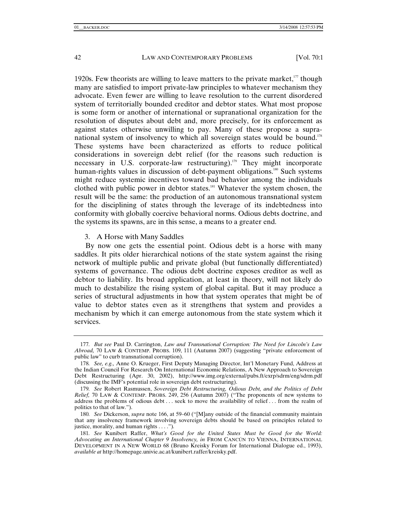1920s. Few theorists are willing to leave matters to the private market, $177$  though many are satisfied to import private-law principles to whatever mechanism they advocate. Even fewer are willing to leave resolution to the current disordered system of territorially bounded creditor and debtor states. What most propose is some form or another of international or supranational organization for the resolution of disputes about debt and, more precisely, for its enforcement as against states otherwise unwilling to pay. Many of these propose a supranational system of insolvency to which all sovereign states would be bound.<sup>178</sup> These systems have been characterized as efforts to reduce political considerations in sovereign debt relief (for the reasons such reduction is necessary in U.S. corporate-law restructuring).<sup>179</sup> They might incorporate human-rights values in discussion of debt-payment obligations.<sup>180</sup> Such systems might reduce systemic incentives toward bad behavior among the individuals clothed with public power in debtor states.181 Whatever the system chosen, the result will be the same: the production of an autonomous transnational system for the disciplining of states through the leverage of its indebtedness into conformity with globally coercive behavioral norms. Odious debts doctrine, and the systems its spawns, are in this sense, a means to a greater end.

## 3. A Horse with Many Saddles

By now one gets the essential point. Odious debt is a horse with many saddles. It pits older hierarchical notions of the state system against the rising network of multiple public and private global (but functionally differentiated) systems of governance. The odious debt doctrine exposes creditor as well as debtor to liability. Its broad application, at least in theory, will not likely do much to destabilize the rising system of global capital. But it may produce a series of structural adjustments in how that system operates that might be of value to debtor states even as it strengthens that system and provides a mechanism by which it can emerge autonomous from the state system which it services.

<sup>177</sup>*. But see* Paul D. Carrington, *Law and Transnational Corruption: The Need for Lincoln's Law Abroad,* 70 LAW & CONTEMP. PROBS. 109, 111 (Autumn 2007) (suggesting "private enforcement of public law" to curb transnational corruption).

<sup>178</sup>*. See, e.g.,* Anne O. Krueger, First Deputy Managing Director, Int'l Monetary Fund, Address at the Indian Council For Research On International Economic Relations, A New Approach to Sovereign Debt Restructuring (Apr. 30, 2002), http://www.img.org/external/pubs.ft/exrp/sdrm/eng/sdrm.pdf (discussing the IMF's potential role in sovereign debt restructuring).

<sup>179</sup>*. See* Robert Rasmussen, *Sovereign Debt Restructuring, Odious Debt, and the Politics of Debt Relief,* 70 LAW & CONTEMP. PROBS. 249, 256 (Autumn 2007) ("The proponents of new systems to address the problems of odious debt . . . seek to move the availability of relief . . . from the realm of politics to that of law.").

<sup>180</sup>*. See* Dickerson, *supra* note 166, at 59–60 ("[M]any outside of the financial community maintain that any insolvency framework involving sovereign debts should be based on principles related to justice, morality, and human rights . . . .")*.*

<sup>181</sup>*. See* Kunibert Raffer, *What's Good for the United States Must be Good for the World: Advocating an International Chapter 9 Insolvency, in* FROM CANCÚN TO VIENNA, INTERNATIONAL DEVELOPMENT IN A NEW WORLD 68 (Bruno Kreisky Forum for International Dialogue ed., 1993), *available at* http://homepage.univie.ac.at/kunibert.raffer/kreisky.pdf.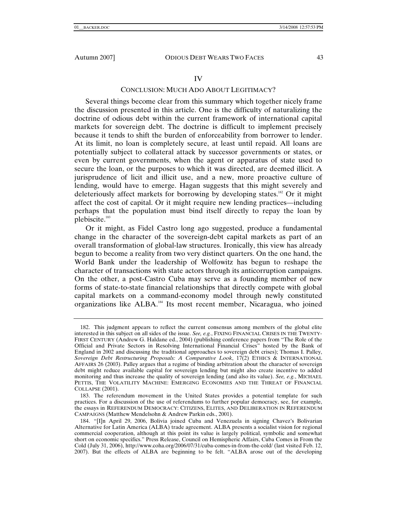## CONCLUSION: MUCH ADO ABOUT LEGITIMACY?

Several things become clear from this summary which together nicely frame the discussion presented in this article. One is the difficulty of naturalizing the doctrine of odious debt within the current framework of international capital markets for sovereign debt. The doctrine is difficult to implement precisely because it tends to shift the burden of enforceability from borrower to lender. At its limit, no loan is completely secure, at least until repaid. All loans are potentially subject to collateral attack by successor governments or states, or even by current governments, when the agent or apparatus of state used to secure the loan, or the purposes to which it was directed, are deemed illicit. A jurisprudence of licit and illicit use, and a new, more proactive culture of lending, would have to emerge. Hagan suggests that this might severely and deleteriously affect markets for borrowing by developing states.182 Or it might affect the cost of capital. Or it might require new lending practices—including perhaps that the population must bind itself directly to repay the loan by plebiscite.183

Or it might, as Fidel Castro long ago suggested, produce a fundamental change in the character of the sovereign-debt capital markets as part of an overall transformation of global-law structures. Ironically, this view has already begun to become a reality from two very distinct quarters. On the one hand, the World Bank under the leadership of Wolfowitz has begun to reshape the character of transactions with state actors through its anticorruption campaigns. On the other, a post-Castro Cuba may serve as a founding member of new forms of state-to-state financial relationships that directly compete with global capital markets on a command-economy model through newly constituted organizations like ALBA.184 Its most recent member, Nicaragua, who joined

 <sup>182.</sup> This judgment appears to reflect the current consensus among members of the global elite interested in this subject on all sides of the issue. *See, e.g.*, FIXING FINANCIAL CRISES IN THE TWENTY-FIRST CENTURY (Andrew G. Haldane ed., 2004) (publishing conference papers from "The Role of the Official and Private Sectors in Resolving International Financial Crises" hosted by the Bank of England in 2002 and discussing the traditional approaches to sovereign debt crises); Thomas I. Palley, *Sovereign Debt Restructuring Proposals: A Comparative Look*, 17(2) ETHICS & INTERNATIONAL AFFAIRS 26 (2003). Palley argues that a regime of binding arbitration about the character of sovereign debt might reduce available capital for sovereign lending but might also create incentive to added monitoring and thus increase the quality of sovereign lending (and also its value). *See, e.g.*, MICHAEL PETTIS, THE VOLATILITY MACHINE: EMERGING ECONOMIES AND THE THREAT OF FINANCIAL COLLAPSE (2001).

 <sup>183.</sup> The referendum movement in the United States provides a potential template for such practices. For a discussion of the use of referendums to further popular democracy, see, for example, the essays in REFERENDUM DEMOCRACY: CITIZENS, ELITES, AND DELIBERATION IN REFERENDUM CAMPAIGNS (Matthew Mendelsohn & Andrew Parkin eds., 2001).

 <sup>184. &</sup>quot;[I]n April 29, 2006, Bolivia joined Cuba and Venezuela in signing Chavez's Bolivarian Alternative for Latin America (ALBA) trade agreement. ALBA presents a socialist vision for regional commercial cooperation, although at this point its value is largely political, symbolic and somewhat short on economic specifics." Press Release, Council on Hemispheric Affairs, Cuba Comes in From the Cold (July 31, 2006), http://www.coha.org/2006/07/31/cuba-comes-in-from-the-cold/ (last visited Feb. 12, 2007). But the effects of ALBA are beginning to be felt. "ALBA arose out of the developing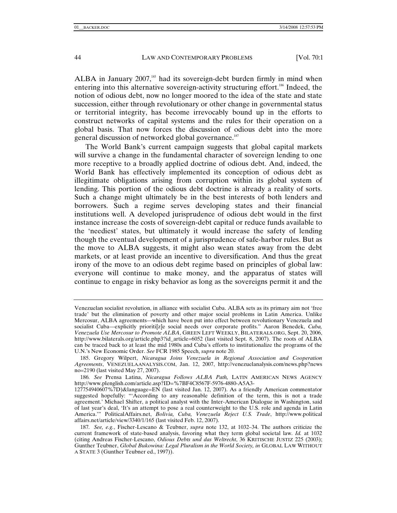ALBA in January  $2007$ ,<sup>185</sup> had its sovereign-debt burden firmly in mind when entering into this alternative sovereign-activity structuring effort.<sup>186</sup> Indeed, the notion of odious debt, now no longer moored to the idea of the state and state succession, either through revolutionary or other change in governmental status or territorial integrity, has become irrevocably bound up in the efforts to construct networks of capital systems and the rules for their operation on a global basis. That now forces the discussion of odious debt into the more general discussion of networked global governance.<sup>187</sup>

The World Bank's current campaign suggests that global capital markets will survive a change in the fundamental character of sovereign lending to one more receptive to a broadly applied doctrine of odious debt. And, indeed, the World Bank has effectively implemented its conception of odious debt as illegitimate obligations arising from corruption within its global system of lending. This portion of the odious debt doctrine is already a reality of sorts. Such a change might ultimately be in the best interests of both lenders and borrowers. Such a regime serves developing states and their financial institutions well. A developed jurisprudence of odious debt would in the first instance increase the costs of sovereign-debt capital or reduce funds available to the 'neediest' states, but ultimately it would increase the safety of lending though the eventual development of a jurisprudence of safe-harbor rules. But as the move to ALBA suggests, it might also wean states away from the debt markets, or at least provide an incentive to diversification. And thus the great irony of the move to an odious debt regime based on principles of global law: everyone will continue to make money, and the apparatus of states will continue to engage in risky behavior as long as the sovereigns permit it and the

Venezuelan socialist revolution, in alliance with socialist Cuba. ALBA sets as its primary aim not 'free trade' but the elimination of poverty and other major social problems in Latin America. Unlike Mercosur, ALBA agreements—which have been put into effect between revolutionary Venezuela and socialist Cuba—explicitly prioriti[z]e social needs over corporate profits." Aaron Benedek, *Cuba, Venezuela Use Mercosur to Promote ALBA*, GREEN LEFT WEEKLY, BILATERALS.ORG, Sept. 20, 2006, http://www.bilaterals.org/article.php3?id\_article=6052 (last visited Sept. 8, 2007). The roots of ALBA can be traced back to at least the mid 1980s and Cuba's efforts to institutionalize the programs of the U.N.'s New Economic Order. *See* FCR 1985 Speech, *supra* note 20.

 <sup>185.</sup> Gregory Wilpert, *Nicaragua Joins Venezuela in Regional Association and Cooperation Agreements*, VENEZUELAANALYSIS.COM, Jan. 12, 2007, http://venezuelanalysis.com/news.php?news no=2190 (last visited May 27, 2007).

<sup>186</sup>*. See* Prensa Latina, *Nicaragua Follows ALBA Path,* LATIN AMERICAN NEWS AGENCY http://www.plenglish.com/article.asp?ID=%7BF4C8567F-5976-4880-A5A3-

<sup>127754940607%7</sup>D)&language=EN (last visited Jan. 12, 2007). As a friendly American commentator suggested hopefully: "'According to any reasonable definition of the term, this is not a trade agreement.' Michael Shifter, a political analyst with the Inter-American Dialogue in Washington, said of last year's deal, 'It's an attempt to pose a real counterweight to the U.S. role and agenda in Latin America.'" PoliticalAffairs.net, *Bolivia, Cuba, Venezuela Reject U.S. Trade*, http://www.political affairs.net/article/view/3340/1/165 (last visited Feb. 12, 2007).

<sup>187</sup>*. See, e.g.*, Fischer-Lescano & Teubner, *supra* note 132, at 1032–34. The authors criticize the current framework of state-based analysis, favoring what they term global societal law. *Id.* at 1032 (citing Andreas Fischer-Lescano, *Odious Debts und das Weltrecht*, 36 KRITISCHE JUSTIZ 225 (2003); Gunther Teubner, *Global Bukowina: Legal Pluralism in the World Society, in* GLOBAL LAW WITHOUT A STATE 3 (Gunther Teubner ed., 1997)).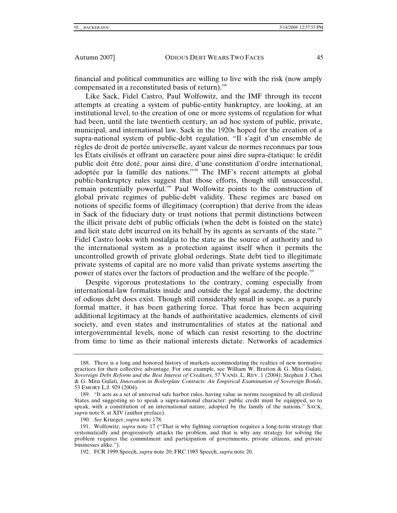financial and political communities are willing to live with the risk (now amply compensated in a reconstituted basis of return).<sup>188</sup>

Like Sack, Fidel Castro, Paul Wolfowitz, and the IMF through its recent attempts at creating a system of public-entity bankruptcy, are looking, at an institutional level, to the creation of one or more systems of regulation for what had been, until the late twentieth century, an ad hoc system of public, private, municipal, and international law. Sack in the 1920s hoped for the creation of a supra-national system of public-debt regulation. "Il s'agit d'un ensemble de règles de droit de portée universelle, ayant valeur de normes reconnues par tous les États civilisés et offrant un caractère pour ainsi dire supra-étatique: le crédit public doit être doté, pour ainsi dire, d'une constitution d'ordre international, adoptée par la famille des nations."189 The IMF's recent attempts at global public-bankruptcy rules suggest that those efforts, though still unsuccessful, remain potentially powerful.<sup>190</sup> Paul Wolfowitz points to the construction of global private regimes of public-debt validity. These regimes are based on notions of specific forms of illegitimacy (corruption) that derive from the ideas in Sack of the fiduciary duty or trust notions that permit distinctions between the illicit private debt of public officials (when the debt is foisted on the state) and licit state debt incurred on its behalf by its agents as servants of the state.<sup>191</sup> Fidel Castro looks with nostalgia to the state as the source of authority and to the international system as a protection against itself when it permits the uncontrolled growth of private global orderings. State debt tied to illegitimate private systems of capital are no more valid than private systems asserting the power of states over the factors of production and the welfare of the people.<sup>192</sup>

Despite vigorous protestations to the contrary, coming especially from international-law formalists inside and outside the legal academy, the doctrine of odious debt does exist. Though still considerably small in scope, as a purely formal matter, it has been gathering force. That force has been acquiring additional legitimacy at the hands of authoritative academics, elements of civil society, and even states and instrumentalities of states at the national and intergovernmental levels, none of which can resist resorting to the doctrine from time to time as their national interests dictate. Networks of academics

 <sup>188.</sup> There is a long and honored history of markets accommodating the realties of new normative practices for their collective advantage. For one example, see William W. Bratton & G. Mitu Gulati, *Sovereign Debt Reform and the Best Interest of Creditors*, 57 VAND. L. REV. 1 (2004); Stephen J. Choi & G. Mitu Gulati, *Innovation in Boilerplate Contracts: An Empirical Examination of Sovereign Bonds*, 53 EMORY L.J. 929 (2004).

 <sup>189. &</sup>quot;It acts as a set of universal safe harbor rules, having value as norms recognized by all civilized States and suggesting so to speak a supra-national character: public credit must be equipped, so to speak, with a constitution of an international nature, adopted by the family of the nations." SACK, *supra* note 8, at XIV (author preface).

<sup>190</sup>*. See* Krueger, *supra* note 178.

 <sup>191.</sup> Wolfowitz, *supra* note 17 ("That is why fighting corruption requires a long-term strategy that systematically and progressively attacks the problem, and that is why any strategy for solving the problem requires the commitment and participation of governments, private citizens, and private businesses alike.").

 <sup>192.</sup> FCR 1999 Speech, *supra* note 20; FRC 1985 Speech, *supra* note 20.